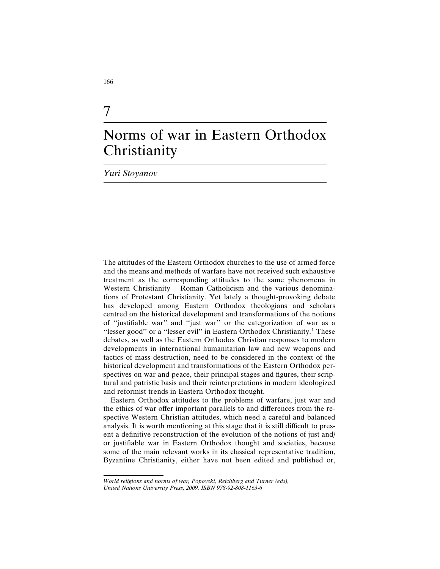# Norms of war in Eastern Orthodox Christianity

Yuri Stoyanov

The attitudes of the Eastern Orthodox churches to the use of armed force and the means and methods of warfare have not received such exhaustive treatment as the corresponding attitudes to the same phenomena in Western Christianity – Roman Catholicism and the various denominations of Protestant Christianity. Yet lately a thought-provoking debate has developed among Eastern Orthodox theologians and scholars centred on the historical development and transformations of the notions of ''justifiable war'' and ''just war'' or the categorization of war as a "lesser good" or a "lesser evil" in Eastern Orthodox Christianity.<sup>1</sup> These debates, as well as the Eastern Orthodox Christian responses to modern developments in international humanitarian law and new weapons and tactics of mass destruction, need to be considered in the context of the historical development and transformations of the Eastern Orthodox perspectives on war and peace, their principal stages and figures, their scriptural and patristic basis and their reinterpretations in modern ideologized and reformist trends in Eastern Orthodox thought.

Eastern Orthodox attitudes to the problems of warfare, just war and the ethics of war offer important parallels to and differences from the respective Western Christian attitudes, which need a careful and balanced analysis. It is worth mentioning at this stage that it is still difficult to present a definitive reconstruction of the evolution of the notions of just and/ or justifiable war in Eastern Orthodox thought and societies, because some of the main relevant works in its classical representative tradition, Byzantine Christianity, either have not been edited and published or,

7

World religions and norms of war, Popovski, Reichberg and Turner (eds), United Nations University Press, 2009, ISBN 978-92-808-1163-6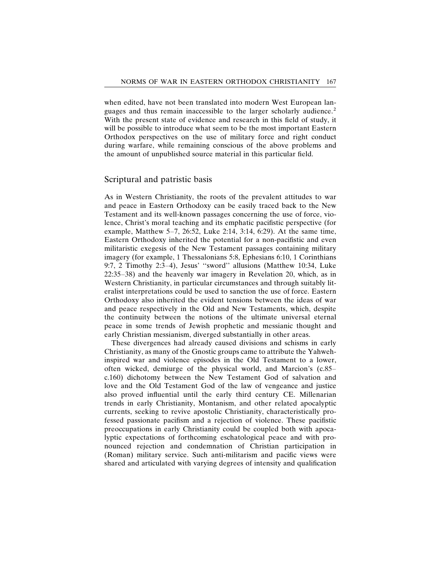when edited, have not been translated into modern West European languages and thus remain inaccessible to the larger scholarly audience.<sup>2</sup> With the present state of evidence and research in this field of study, it will be possible to introduce what seem to be the most important Eastern Orthodox perspectives on the use of military force and right conduct during warfare, while remaining conscious of the above problems and the amount of unpublished source material in this particular field.

## Scriptural and patristic basis

As in Western Christianity, the roots of the prevalent attitudes to war and peace in Eastern Orthodoxy can be easily traced back to the New Testament and its well-known passages concerning the use of force, violence, Christ's moral teaching and its emphatic pacifistic perspective (for example, Matthew 5–7, 26:52, Luke 2:14, 3:14, 6:29). At the same time, Eastern Orthodoxy inherited the potential for a non-pacifistic and even militaristic exegesis of the New Testament passages containing military imagery (for example, 1 Thessalonians 5:8, Ephesians 6:10, 1 Corinthians 9:7, 2 Timothy 2:3–4), Jesus' ''sword'' allusions (Matthew 10:34, Luke 22:35–38) and the heavenly war imagery in Revelation 20, which, as in Western Christianity, in particular circumstances and through suitably literalist interpretations could be used to sanction the use of force. Eastern Orthodoxy also inherited the evident tensions between the ideas of war and peace respectively in the Old and New Testaments, which, despite the continuity between the notions of the ultimate universal eternal peace in some trends of Jewish prophetic and messianic thought and early Christian messianism, diverged substantially in other areas.

These divergences had already caused divisions and schisms in early Christianity, as many of the Gnostic groups came to attribute the Yahwehinspired war and violence episodes in the Old Testament to a lower, often wicked, demiurge of the physical world, and Marcion's (c.85– c.160) dichotomy between the New Testament God of salvation and love and the Old Testament God of the law of vengeance and justice also proved influential until the early third century CE. Millenarian trends in early Christianity, Montanism, and other related apocalyptic currents, seeking to revive apostolic Christianity, characteristically professed passionate pacifism and a rejection of violence. These pacifistic preoccupations in early Christianity could be coupled both with apocalyptic expectations of forthcoming eschatological peace and with pronounced rejection and condemnation of Christian participation in (Roman) military service. Such anti-militarism and pacific views were shared and articulated with varying degrees of intensity and qualification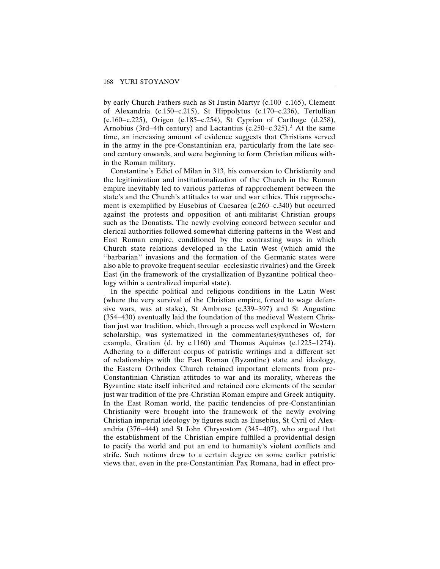by early Church Fathers such as St Justin Martyr (c.100–c.165), Clement of Alexandria (c.150–c.215), St Hippolytus (c.170–c.236), Tertullian (c.160–c.225), Origen (c.185–c.254), St Cyprian of Carthage (d.258), Arnobius (3rd–4th century) and Lactantius (c.250–c.325).<sup>3</sup> At the same time, an increasing amount of evidence suggests that Christians served in the army in the pre-Constantinian era, particularly from the late second century onwards, and were beginning to form Christian milieus within the Roman military.

Constantine's Edict of Milan in 313, his conversion to Christianity and the legitimization and institutionalization of the Church in the Roman empire inevitably led to various patterns of rapprochement between the state's and the Church's attitudes to war and war ethics. This rapprochement is exemplified by Eusebius of Caesarea (c.260–c.340) but occurred against the protests and opposition of anti-militarist Christian groups such as the Donatists. The newly evolving concord between secular and clerical authorities followed somewhat differing patterns in the West and East Roman empire, conditioned by the contrasting ways in which Church–state relations developed in the Latin West (which amid the ''barbarian'' invasions and the formation of the Germanic states were also able to provoke frequent secular–ecclesiastic rivalries) and the Greek East (in the framework of the crystallization of Byzantine political theology within a centralized imperial state).

In the specific political and religious conditions in the Latin West (where the very survival of the Christian empire, forced to wage defensive wars, was at stake), St Ambrose (c.339–397) and St Augustine (354–430) eventually laid the foundation of the medieval Western Christian just war tradition, which, through a process well explored in Western scholarship, was systematized in the commentaries/syntheses of, for example, Gratian (d. by c.1160) and Thomas Aquinas (c.1225–1274). Adhering to a different corpus of patristic writings and a different set of relationships with the East Roman (Byzantine) state and ideology, the Eastern Orthodox Church retained important elements from pre-Constantinian Christian attitudes to war and its morality, whereas the Byzantine state itself inherited and retained core elements of the secular just war tradition of the pre-Christian Roman empire and Greek antiquity. In the East Roman world, the pacific tendencies of pre-Constantinian Christianity were brought into the framework of the newly evolving Christian imperial ideology by figures such as Eusebius, St Cyril of Alexandria (376–444) and St John Chrysostom (345–407), who argued that the establishment of the Christian empire fulfilled a providential design to pacify the world and put an end to humanity's violent conflicts and strife. Such notions drew to a certain degree on some earlier patristic views that, even in the pre-Constantinian Pax Romana, had in effect pro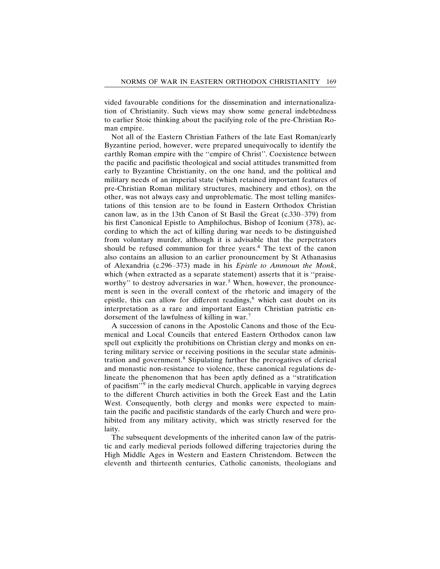vided favourable conditions for the dissemination and internationalization of Christianity. Such views may show some general indebtedness to earlier Stoic thinking about the pacifying role of the pre-Christian Roman empire.

Not all of the Eastern Christian Fathers of the late East Roman/early Byzantine period, however, were prepared unequivocally to identify the earthly Roman empire with the ''empire of Christ''. Coexistence between the pacific and pacifistic theological and social attitudes transmitted from early to Byzantine Christianity, on the one hand, and the political and military needs of an imperial state (which retained important features of pre-Christian Roman military structures, machinery and ethos), on the other, was not always easy and unproblematic. The most telling manifestations of this tension are to be found in Eastern Orthodox Christian canon law, as in the 13th Canon of St Basil the Great (c.330–379) from his first Canonical Epistle to Amphilochus, Bishop of Iconium (378), according to which the act of killing during war needs to be distinguished from voluntary murder, although it is advisable that the perpetrators should be refused communion for three years.<sup>4</sup> The text of the canon also contains an allusion to an earlier pronouncement by St Athanasius of Alexandria (c.296–373) made in his Epistle to Ammoun the Monk, which (when extracted as a separate statement) asserts that it is ''praiseworthy" to destroy adversaries in war.<sup>5</sup> When, however, the pronouncement is seen in the overall context of the rhetoric and imagery of the epistle, this can allow for different readings,<sup>6</sup> which cast doubt on its interpretation as a rare and important Eastern Christian patristic endorsement of the lawfulness of killing in war.7

A succession of canons in the Apostolic Canons and those of the Ecumenical and Local Councils that entered Eastern Orthodox canon law spell out explicitly the prohibitions on Christian clergy and monks on entering military service or receiving positions in the secular state administration and government.<sup>8</sup> Stipulating further the prerogatives of clerical and monastic non-resistance to violence, these canonical regulations delineate the phenomenon that has been aptly defined as a ''stratification of pacifism''9 in the early medieval Church, applicable in varying degrees to the different Church activities in both the Greek East and the Latin West. Consequently, both clergy and monks were expected to maintain the pacific and pacifistic standards of the early Church and were prohibited from any military activity, which was strictly reserved for the laity.

The subsequent developments of the inherited canon law of the patristic and early medieval periods followed differing trajectories during the High Middle Ages in Western and Eastern Christendom. Between the eleventh and thirteenth centuries, Catholic canonists, theologians and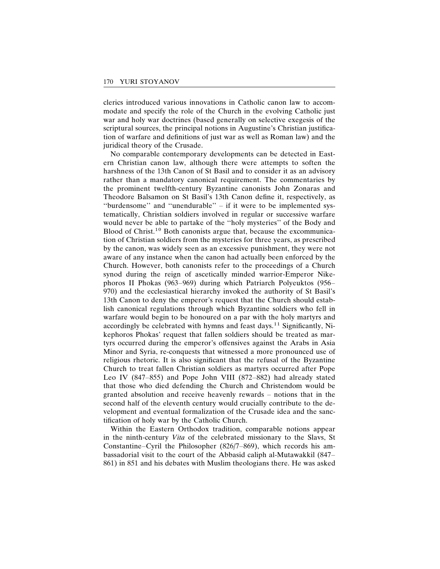clerics introduced various innovations in Catholic canon law to accommodate and specify the role of the Church in the evolving Catholic just war and holy war doctrines (based generally on selective exegesis of the scriptural sources, the principal notions in Augustine's Christian justification of warfare and definitions of just war as well as Roman law) and the juridical theory of the Crusade.

No comparable contemporary developments can be detected in Eastern Christian canon law, although there were attempts to soften the harshness of the 13th Canon of St Basil and to consider it as an advisory rather than a mandatory canonical requirement. The commentaries by the prominent twelfth-century Byzantine canonists John Zonaras and Theodore Balsamon on St Basil's 13th Canon define it, respectively, as ''burdensome'' and ''unendurable'' – if it were to be implemented systematically, Christian soldiers involved in regular or successive warfare would never be able to partake of the ''holy mysteries'' of the Body and Blood of Christ.<sup>10</sup> Both canonists argue that, because the excommunication of Christian soldiers from the mysteries for three years, as prescribed by the canon, was widely seen as an excessive punishment, they were not aware of any instance when the canon had actually been enforced by the Church. However, both canonists refer to the proceedings of a Church synod during the reign of ascetically minded warrior-Emperor Nikephoros II Phokas (963–969) during which Patriarch Polyeuktos (956– 970) and the ecclesiastical hierarchy invoked the authority of St Basil's 13th Canon to deny the emperor's request that the Church should establish canonical regulations through which Byzantine soldiers who fell in warfare would begin to be honoured on a par with the holy martyrs and accordingly be celebrated with hymns and feast days.<sup>11</sup> Significantly, Nikephoros Phokas' request that fallen soldiers should be treated as martyrs occurred during the emperor's offensives against the Arabs in Asia Minor and Syria, re-conquests that witnessed a more pronounced use of religious rhetoric. It is also significant that the refusal of the Byzantine Church to treat fallen Christian soldiers as martyrs occurred after Pope Leo IV (847–855) and Pope John VIII (872–882) had already stated that those who died defending the Church and Christendom would be granted absolution and receive heavenly rewards – notions that in the second half of the eleventh century would crucially contribute to the development and eventual formalization of the Crusade idea and the sanctification of holy war by the Catholic Church.

Within the Eastern Orthodox tradition, comparable notions appear in the ninth-century Vita of the celebrated missionary to the Slavs, St Constantine–Cyril the Philosopher (826/7–869), which records his ambassadorial visit to the court of the Abbasid caliph al-Mutawakkil (847– 861) in 851 and his debates with Muslim theologians there. He was asked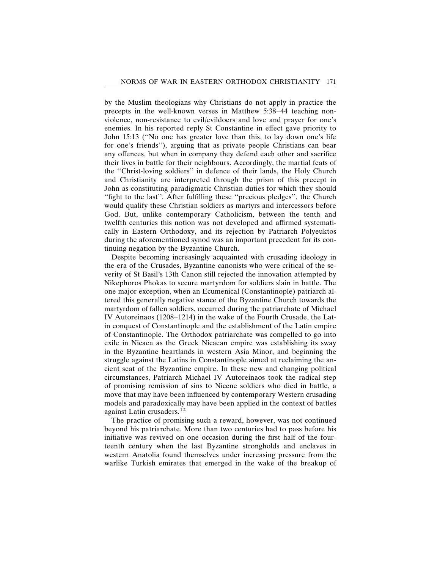by the Muslim theologians why Christians do not apply in practice the precepts in the well-known verses in Matthew 5:38–44 teaching nonviolence, non-resistance to evil/evildoers and love and prayer for one's enemies. In his reported reply St Constantine in effect gave priority to John 15:13 (''No one has greater love than this, to lay down one's life for one's friends''), arguing that as private people Christians can bear any offences, but when in company they defend each other and sacrifice their lives in battle for their neighbours. Accordingly, the martial feats of the ''Christ-loving soldiers'' in defence of their lands, the Holy Church and Christianity are interpreted through the prism of this precept in John as constituting paradigmatic Christian duties for which they should ''fight to the last''. After fulfilling these ''precious pledges'', the Church would qualify these Christian soldiers as martyrs and intercessors before God. But, unlike contemporary Catholicism, between the tenth and twelfth centuries this notion was not developed and affirmed systematically in Eastern Orthodoxy, and its rejection by Patriarch Polyeuktos during the aforementioned synod was an important precedent for its continuing negation by the Byzantine Church.

Despite becoming increasingly acquainted with crusading ideology in the era of the Crusades, Byzantine canonists who were critical of the severity of St Basil's 13th Canon still rejected the innovation attempted by Nikephoros Phokas to secure martyrdom for soldiers slain in battle. The one major exception, when an Ecumenical (Constantinople) patriarch altered this generally negative stance of the Byzantine Church towards the martyrdom of fallen soldiers, occurred during the patriarchate of Michael IV Autoreinaos (1208–1214) in the wake of the Fourth Crusade, the Latin conquest of Constantinople and the establishment of the Latin empire of Constantinople. The Orthodox patriarchate was compelled to go into exile in Nicaea as the Greek Nicaean empire was establishing its sway in the Byzantine heartlands in western Asia Minor, and beginning the struggle against the Latins in Constantinople aimed at reclaiming the ancient seat of the Byzantine empire. In these new and changing political circumstances, Patriarch Michael IV Autoreinaos took the radical step of promising remission of sins to Nicene soldiers who died in battle, a move that may have been influenced by contemporary Western crusading models and paradoxically may have been applied in the context of battles against Latin crusaders.12

The practice of promising such a reward, however, was not continued beyond his patriarchate. More than two centuries had to pass before his initiative was revived on one occasion during the first half of the fourteenth century when the last Byzantine strongholds and enclaves in western Anatolia found themselves under increasing pressure from the warlike Turkish emirates that emerged in the wake of the breakup of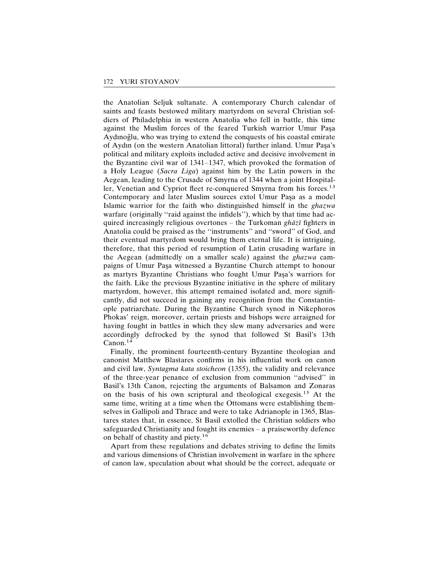the Anatolian Seljuk sultanate. A contemporary Church calendar of saints and feasts bestowed military martyrdom on several Christian soldiers of Philadelphia in western Anatolia who fell in battle, this time against the Muslim forces of the feared Turkish warrior Umur Paşa Aydinoğlu, who was trying to extend the conquests of his coastal emirate of Aydın (on the western Anatolian littoral) further inland. Umur Paşa's political and military exploits included active and decisive involvement in the Byzantine civil war of 1341–1347, which provoked the formation of a Holy League (Sacra Liga) against him by the Latin powers in the Aegean, leading to the Crusade of Smyrna of 1344 when a joint Hospitaller, Venetian and Cypriot fleet re-conquered Smyrna from his forces.<sup>13</sup> Contemporary and later Muslim sources extol Umur Pasa as a model Islamic warrior for the faith who distinguished himself in the ghazwa warfare (originally "raid against the infidels"), which by that time had acquired increasingly religious overtones – the Turkoman ghāzī fighters in Anatolia could be praised as the ''instruments'' and ''sword'' of God, and their eventual martyrdom would bring them eternal life. It is intriguing, therefore, that this period of resumption of Latin crusading warfare in the Aegean (admittedly on a smaller scale) against the ghazwa campaigns of Umur Paşa witnessed a Byzantine Church attempt to honour as martyrs Byzantine Christians who fought Umur Paşa's warriors for the faith. Like the previous Byzantine initiative in the sphere of military martyrdom, however, this attempt remained isolated and, more significantly, did not succeed in gaining any recognition from the Constantinople patriarchate. During the Byzantine Church synod in Nikephoros Phokas' reign, moreover, certain priests and bishops were arraigned for having fought in battles in which they slew many adversaries and were accordingly defrocked by the synod that followed St Basil's 13th Canon.14

Finally, the prominent fourteenth-century Byzantine theologian and canonist Matthew Blastares confirms in his influential work on canon and civil law, Syntagma kata stoicheon (1355), the validity and relevance of the three-year penance of exclusion from communion ''advised'' in Basil's 13th Canon, rejecting the arguments of Balsamon and Zonaras on the basis of his own scriptural and theological exegesis.15 At the same time, writing at a time when the Ottomans were establishing themselves in Gallipoli and Thrace and were to take Adrianople in 1365, Blastares states that, in essence, St Basil extolled the Christian soldiers who safeguarded Christianity and fought its enemies – a praiseworthy defence on behalf of chastity and piety.16

Apart from these regulations and debates striving to define the limits and various dimensions of Christian involvement in warfare in the sphere of canon law, speculation about what should be the correct, adequate or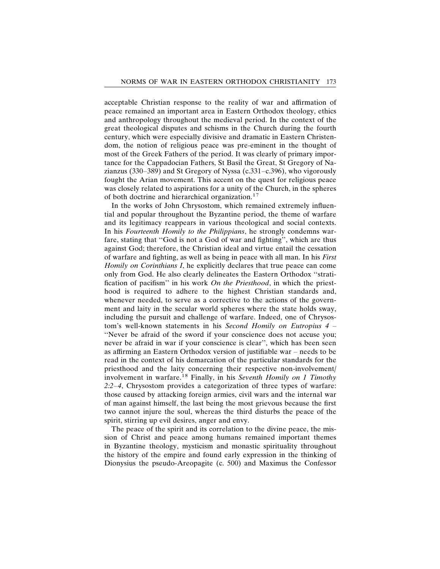acceptable Christian response to the reality of war and affirmation of peace remained an important area in Eastern Orthodox theology, ethics and anthropology throughout the medieval period. In the context of the great theological disputes and schisms in the Church during the fourth century, which were especially divisive and dramatic in Eastern Christendom, the notion of religious peace was pre-eminent in the thought of most of the Greek Fathers of the period. It was clearly of primary importance for the Cappadocian Fathers, St Basil the Great, St Gregory of Nazianzus (330–389) and St Gregory of Nyssa (c.331–c.396), who vigorously fought the Arian movement. This accent on the quest for religious peace was closely related to aspirations for a unity of the Church, in the spheres of both doctrine and hierarchical organization.17

In the works of John Chrysostom, which remained extremely influential and popular throughout the Byzantine period, the theme of warfare and its legitimacy reappears in various theological and social contexts. In his Fourteenth Homily to the Philippians, he strongly condemns warfare, stating that ''God is not a God of war and fighting'', which are thus against God; therefore, the Christian ideal and virtue entail the cessation of warfare and fighting, as well as being in peace with all man. In his First Homily on Corinthians I, he explicitly declares that true peace can come only from God. He also clearly delineates the Eastern Orthodox ''stratification of pacifism'' in his work On the Priesthood, in which the priesthood is required to adhere to the highest Christian standards and, whenever needed, to serve as a corrective to the actions of the government and laity in the secular world spheres where the state holds sway, including the pursuit and challenge of warfare. Indeed, one of Chrysostom's well-known statements in his Second Homily on Eutropius 4 – ''Never be afraid of the sword if your conscience does not accuse you; never be afraid in war if your conscience is clear'', which has been seen as affirming an Eastern Orthodox version of justifiable war – needs to be read in the context of his demarcation of the particular standards for the priesthood and the laity concerning their respective non-involvement/ involvement in warfare.<sup>18</sup> Finally, in his Seventh Homily on 1 Timothy 2:2–4, Chrysostom provides a categorization of three types of warfare: those caused by attacking foreign armies, civil wars and the internal war of man against himself, the last being the most grievous because the first two cannot injure the soul, whereas the third disturbs the peace of the spirit, stirring up evil desires, anger and envy.

The peace of the spirit and its correlation to the divine peace, the mission of Christ and peace among humans remained important themes in Byzantine theology, mysticism and monastic spirituality throughout the history of the empire and found early expression in the thinking of Dionysius the pseudo-Areopagite (c. 500) and Maximus the Confessor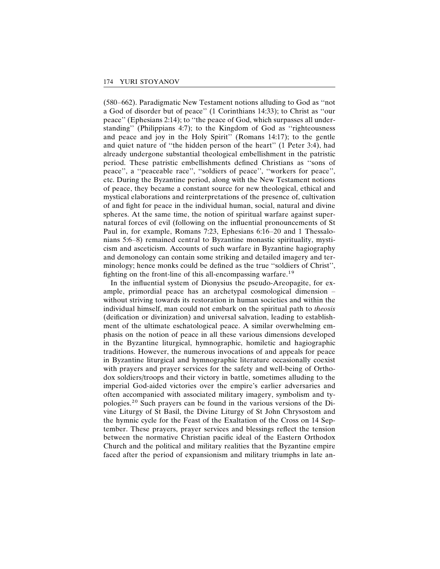(580–662). Paradigmatic New Testament notions alluding to God as ''not a God of disorder but of peace'' (1 Corinthians 14:33); to Christ as ''our peace'' (Ephesians 2:14); to ''the peace of God, which surpasses all understanding'' (Philippians 4:7); to the Kingdom of God as ''righteousness and peace and joy in the Holy Spirit'' (Romans 14:17); to the gentle and quiet nature of ''the hidden person of the heart'' (1 Peter 3:4), had already undergone substantial theological embellishment in the patristic period. These patristic embellishments defined Christians as ''sons of peace'', a ''peaceable race'', ''soldiers of peace'', ''workers for peace'', etc. During the Byzantine period, along with the New Testament notions of peace, they became a constant source for new theological, ethical and mystical elaborations and reinterpretations of the presence of, cultivation of and fight for peace in the individual human, social, natural and divine spheres. At the same time, the notion of spiritual warfare against supernatural forces of evil (following on the influential pronouncements of St Paul in, for example, Romans 7:23, Ephesians 6:16–20 and 1 Thessalonians 5:6–8) remained central to Byzantine monastic spirituality, mysticism and asceticism. Accounts of such warfare in Byzantine hagiography and demonology can contain some striking and detailed imagery and terminology; hence monks could be defined as the true ''soldiers of Christ'', fighting on the front-line of this all-encompassing warfare.<sup>19</sup>

In the influential system of Dionysius the pseudo-Areopagite, for example, primordial peace has an archetypal cosmological dimension – without striving towards its restoration in human societies and within the individual himself, man could not embark on the spiritual path to theosis (deification or divinization) and universal salvation, leading to establishment of the ultimate eschatological peace. A similar overwhelming emphasis on the notion of peace in all these various dimensions developed in the Byzantine liturgical, hymnographic, homiletic and hagiographic traditions. However, the numerous invocations of and appeals for peace in Byzantine liturgical and hymnographic literature occasionally coexist with prayers and prayer services for the safety and well-being of Orthodox soldiers/troops and their victory in battle, sometimes alluding to the imperial God-aided victories over the empire's earlier adversaries and often accompanied with associated military imagery, symbolism and typologies.20 Such prayers can be found in the various versions of the Divine Liturgy of St Basil, the Divine Liturgy of St John Chrysostom and the hymnic cycle for the Feast of the Exaltation of the Cross on 14 September. These prayers, prayer services and blessings reflect the tension between the normative Christian pacific ideal of the Eastern Orthodox Church and the political and military realities that the Byzantine empire faced after the period of expansionism and military triumphs in late an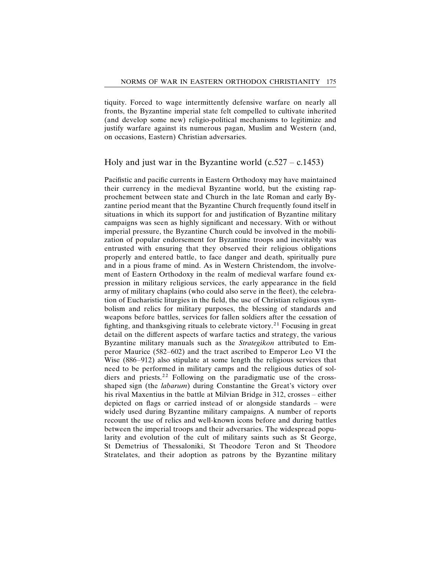tiquity. Forced to wage intermittently defensive warfare on nearly all fronts, the Byzantine imperial state felt compelled to cultivate inherited (and develop some new) religio-political mechanisms to legitimize and justify warfare against its numerous pagan, Muslim and Western (and, on occasions, Eastern) Christian adversaries.

## Holy and just war in the Byzantine world  $(c.527 - c.1453)$

Pacifistic and pacific currents in Eastern Orthodoxy may have maintained their currency in the medieval Byzantine world, but the existing rapprochement between state and Church in the late Roman and early Byzantine period meant that the Byzantine Church frequently found itself in situations in which its support for and justification of Byzantine military campaigns was seen as highly significant and necessary. With or without imperial pressure, the Byzantine Church could be involved in the mobilization of popular endorsement for Byzantine troops and inevitably was entrusted with ensuring that they observed their religious obligations properly and entered battle, to face danger and death, spiritually pure and in a pious frame of mind. As in Western Christendom, the involvement of Eastern Orthodoxy in the realm of medieval warfare found expression in military religious services, the early appearance in the field army of military chaplains (who could also serve in the fleet), the celebration of Eucharistic liturgies in the field, the use of Christian religious symbolism and relics for military purposes, the blessing of standards and weapons before battles, services for fallen soldiers after the cessation of fighting, and thanksgiving rituals to celebrate victory.<sup>21</sup> Focusing in great detail on the different aspects of warfare tactics and strategy, the various Byzantine military manuals such as the Strategikon attributed to Emperor Maurice (582–602) and the tract ascribed to Emperor Leo VI the Wise (886–912) also stipulate at some length the religious services that need to be performed in military camps and the religious duties of soldiers and priests.<sup>22</sup> Following on the paradigmatic use of the crossshaped sign (the labarum) during Constantine the Great's victory over his rival Maxentius in the battle at Milvian Bridge in 312, crosses – either depicted on flags or carried instead of or alongside standards – were widely used during Byzantine military campaigns. A number of reports recount the use of relics and well-known icons before and during battles between the imperial troops and their adversaries. The widespread popularity and evolution of the cult of military saints such as St George, St Demetrius of Thessaloniki, St Theodore Teron and St Theodore Stratelates, and their adoption as patrons by the Byzantine military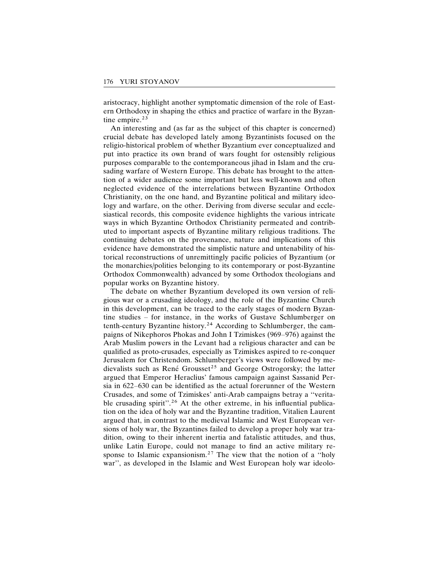aristocracy, highlight another symptomatic dimension of the role of Eastern Orthodoxy in shaping the ethics and practice of warfare in the Byzantine empire. $23$ 

An interesting and (as far as the subject of this chapter is concerned) crucial debate has developed lately among Byzantinists focused on the religio-historical problem of whether Byzantium ever conceptualized and put into practice its own brand of wars fought for ostensibly religious purposes comparable to the contemporaneous jihad in Islam and the crusading warfare of Western Europe. This debate has brought to the attention of a wider audience some important but less well-known and often neglected evidence of the interrelations between Byzantine Orthodox Christianity, on the one hand, and Byzantine political and military ideology and warfare, on the other. Deriving from diverse secular and ecclesiastical records, this composite evidence highlights the various intricate ways in which Byzantine Orthodox Christianity permeated and contributed to important aspects of Byzantine military religious traditions. The continuing debates on the provenance, nature and implications of this evidence have demonstrated the simplistic nature and untenability of historical reconstructions of unremittingly pacific policies of Byzantium (or the monarchies/polities belonging to its contemporary or post-Byzantine Orthodox Commonwealth) advanced by some Orthodox theologians and popular works on Byzantine history.

The debate on whether Byzantium developed its own version of religious war or a crusading ideology, and the role of the Byzantine Church in this development, can be traced to the early stages of modern Byzantine studies – for instance, in the works of Gustave Schlumberger on tenth-century Byzantine history.<sup>24</sup> According to Schlumberger, the campaigns of Nikephoros Phokas and John I Tzimiskes (969–976) against the Arab Muslim powers in the Levant had a religious character and can be qualified as proto-crusades, especially as Tzimiskes aspired to re-conquer Jerusalem for Christendom. Schlumberger's views were followed by medievalists such as René Grousset<sup>25</sup> and George Ostrogorsky; the latter argued that Emperor Heraclius' famous campaign against Sassanid Persia in 622–630 can be identified as the actual forerunner of the Western Crusades, and some of Tzimiskes' anti-Arab campaigns betray a ''veritable crusading spirit".<sup>26</sup> At the other extreme, in his influential publication on the idea of holy war and the Byzantine tradition, Vitalien Laurent argued that, in contrast to the medieval Islamic and West European versions of holy war, the Byzantines failed to develop a proper holy war tradition, owing to their inherent inertia and fatalistic attitudes, and thus, unlike Latin Europe, could not manage to find an active military response to Islamic expansionism.27 The view that the notion of a ''holy war'', as developed in the Islamic and West European holy war ideolo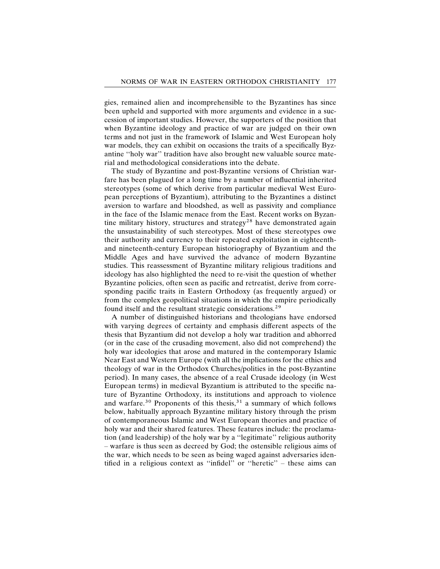gies, remained alien and incomprehensible to the Byzantines has since been upheld and supported with more arguments and evidence in a succession of important studies. However, the supporters of the position that when Byzantine ideology and practice of war are judged on their own terms and not just in the framework of Islamic and West European holy war models, they can exhibit on occasions the traits of a specifically Byzantine ''holy war'' tradition have also brought new valuable source material and methodological considerations into the debate.

The study of Byzantine and post-Byzantine versions of Christian warfare has been plagued for a long time by a number of influential inherited stereotypes (some of which derive from particular medieval West European perceptions of Byzantium), attributing to the Byzantines a distinct aversion to warfare and bloodshed, as well as passivity and compliance in the face of the Islamic menace from the East. Recent works on Byzantine military history, structures and strategy<sup>28</sup> have demonstrated again the unsustainability of such stereotypes. Most of these stereotypes owe their authority and currency to their repeated exploitation in eighteenthand nineteenth-century European historiography of Byzantium and the Middle Ages and have survived the advance of modern Byzantine studies. This reassessment of Byzantine military religious traditions and ideology has also highlighted the need to re-visit the question of whether Byzantine policies, often seen as pacific and retreatist, derive from corresponding pacific traits in Eastern Orthodoxy (as frequently argued) or from the complex geopolitical situations in which the empire periodically found itself and the resultant strategic considerations.29

A number of distinguished historians and theologians have endorsed with varying degrees of certainty and emphasis different aspects of the thesis that Byzantium did not develop a holy war tradition and abhorred (or in the case of the crusading movement, also did not comprehend) the holy war ideologies that arose and matured in the contemporary Islamic Near East and Western Europe (with all the implications for the ethics and theology of war in the Orthodox Churches/polities in the post-Byzantine period). In many cases, the absence of a real Crusade ideology (in West European terms) in medieval Byzantium is attributed to the specific nature of Byzantine Orthodoxy, its institutions and approach to violence and warfare.<sup>30</sup> Proponents of this thesis,<sup>31</sup> a summary of which follows below, habitually approach Byzantine military history through the prism of contemporaneous Islamic and West European theories and practice of holy war and their shared features. These features include: the proclamation (and leadership) of the holy war by a ''legitimate'' religious authority – warfare is thus seen as decreed by God; the ostensible religious aims of the war, which needs to be seen as being waged against adversaries identified in a religious context as ''infidel'' or ''heretic'' – these aims can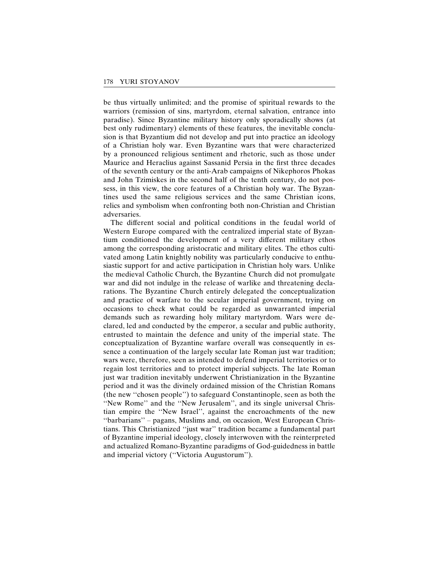be thus virtually unlimited; and the promise of spiritual rewards to the warriors (remission of sins, martyrdom, eternal salvation, entrance into paradise). Since Byzantine military history only sporadically shows (at best only rudimentary) elements of these features, the inevitable conclusion is that Byzantium did not develop and put into practice an ideology of a Christian holy war. Even Byzantine wars that were characterized by a pronounced religious sentiment and rhetoric, such as those under Maurice and Heraclius against Sassanid Persia in the first three decades of the seventh century or the anti-Arab campaigns of Nikephoros Phokas and John Tzimiskes in the second half of the tenth century, do not possess, in this view, the core features of a Christian holy war. The Byzantines used the same religious services and the same Christian icons, relics and symbolism when confronting both non-Christian and Christian adversaries.

The different social and political conditions in the feudal world of Western Europe compared with the centralized imperial state of Byzantium conditioned the development of a very different military ethos among the corresponding aristocratic and military elites. The ethos cultivated among Latin knightly nobility was particularly conducive to enthusiastic support for and active participation in Christian holy wars. Unlike the medieval Catholic Church, the Byzantine Church did not promulgate war and did not indulge in the release of warlike and threatening declarations. The Byzantine Church entirely delegated the conceptualization and practice of warfare to the secular imperial government, trying on occasions to check what could be regarded as unwarranted imperial demands such as rewarding holy military martyrdom. Wars were declared, led and conducted by the emperor, a secular and public authority, entrusted to maintain the defence and unity of the imperial state. The conceptualization of Byzantine warfare overall was consequently in essence a continuation of the largely secular late Roman just war tradition; wars were, therefore, seen as intended to defend imperial territories or to regain lost territories and to protect imperial subjects. The late Roman just war tradition inevitably underwent Christianization in the Byzantine period and it was the divinely ordained mission of the Christian Romans (the new ''chosen people'') to safeguard Constantinople, seen as both the ''New Rome'' and the ''New Jerusalem'', and its single universal Christian empire the ''New Israel'', against the encroachments of the new ''barbarians'' – pagans, Muslims and, on occasion, West European Christians. This Christianized ''just war'' tradition became a fundamental part of Byzantine imperial ideology, closely interwoven with the reinterpreted and actualized Romano-Byzantine paradigms of God-guidedness in battle and imperial victory (''Victoria Augustorum'').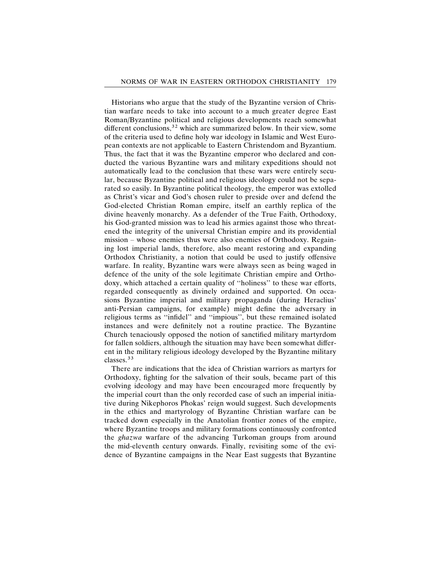Historians who argue that the study of the Byzantine version of Christian warfare needs to take into account to a much greater degree East Roman/Byzantine political and religious developments reach somewhat different conclusions,  $32$  which are summarized below. In their view, some of the criteria used to define holy war ideology in Islamic and West European contexts are not applicable to Eastern Christendom and Byzantium. Thus, the fact that it was the Byzantine emperor who declared and conducted the various Byzantine wars and military expeditions should not automatically lead to the conclusion that these wars were entirely secular, because Byzantine political and religious ideology could not be separated so easily. In Byzantine political theology, the emperor was extolled as Christ's vicar and God's chosen ruler to preside over and defend the God-elected Christian Roman empire, itself an earthly replica of the divine heavenly monarchy. As a defender of the True Faith, Orthodoxy, his God-granted mission was to lead his armies against those who threatened the integrity of the universal Christian empire and its providential mission – whose enemies thus were also enemies of Orthodoxy. Regaining lost imperial lands, therefore, also meant restoring and expanding Orthodox Christianity, a notion that could be used to justify offensive warfare. In reality, Byzantine wars were always seen as being waged in defence of the unity of the sole legitimate Christian empire and Orthodoxy, which attached a certain quality of ''holiness'' to these war efforts, regarded consequently as divinely ordained and supported. On occasions Byzantine imperial and military propaganda (during Heraclius' anti-Persian campaigns, for example) might define the adversary in religious terms as ''infidel'' and ''impious'', but these remained isolated instances and were definitely not a routine practice. The Byzantine Church tenaciously opposed the notion of sanctified military martyrdom for fallen soldiers, although the situation may have been somewhat different in the military religious ideology developed by the Byzantine military classes.33

There are indications that the idea of Christian warriors as martyrs for Orthodoxy, fighting for the salvation of their souls, became part of this evolving ideology and may have been encouraged more frequently by the imperial court than the only recorded case of such an imperial initiative during Nikephoros Phokas' reign would suggest. Such developments in the ethics and martyrology of Byzantine Christian warfare can be tracked down especially in the Anatolian frontier zones of the empire, where Byzantine troops and military formations continuously confronted the ghazwa warfare of the advancing Turkoman groups from around the mid-eleventh century onwards. Finally, revisiting some of the evidence of Byzantine campaigns in the Near East suggests that Byzantine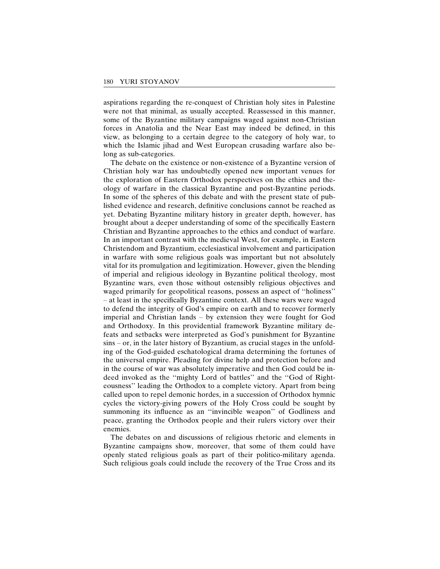aspirations regarding the re-conquest of Christian holy sites in Palestine were not that minimal, as usually accepted. Reassessed in this manner, some of the Byzantine military campaigns waged against non-Christian forces in Anatolia and the Near East may indeed be defined, in this view, as belonging to a certain degree to the category of holy war, to which the Islamic jihad and West European crusading warfare also belong as sub-categories.

The debate on the existence or non-existence of a Byzantine version of Christian holy war has undoubtedly opened new important venues for the exploration of Eastern Orthodox perspectives on the ethics and theology of warfare in the classical Byzantine and post-Byzantine periods. In some of the spheres of this debate and with the present state of published evidence and research, definitive conclusions cannot be reached as yet. Debating Byzantine military history in greater depth, however, has brought about a deeper understanding of some of the specifically Eastern Christian and Byzantine approaches to the ethics and conduct of warfare. In an important contrast with the medieval West, for example, in Eastern Christendom and Byzantium, ecclesiastical involvement and participation in warfare with some religious goals was important but not absolutely vital for its promulgation and legitimization. However, given the blending of imperial and religious ideology in Byzantine political theology, most Byzantine wars, even those without ostensibly religious objectives and waged primarily for geopolitical reasons, possess an aspect of ''holiness'' – at least in the specifically Byzantine context. All these wars were waged to defend the integrity of God's empire on earth and to recover formerly imperial and Christian lands – by extension they were fought for God and Orthodoxy. In this providential framework Byzantine military defeats and setbacks were interpreted as God's punishment for Byzantine sins – or, in the later history of Byzantium, as crucial stages in the unfolding of the God-guided eschatological drama determining the fortunes of the universal empire. Pleading for divine help and protection before and in the course of war was absolutely imperative and then God could be indeed invoked as the ''mighty Lord of battles'' and the ''God of Righteousness'' leading the Orthodox to a complete victory. Apart from being called upon to repel demonic hordes, in a succession of Orthodox hymnic cycles the victory-giving powers of the Holy Cross could be sought by summoning its influence as an "invincible weapon" of Godliness and peace, granting the Orthodox people and their rulers victory over their enemies.

The debates on and discussions of religious rhetoric and elements in Byzantine campaigns show, moreover, that some of them could have openly stated religious goals as part of their politico-military agenda. Such religious goals could include the recovery of the True Cross and its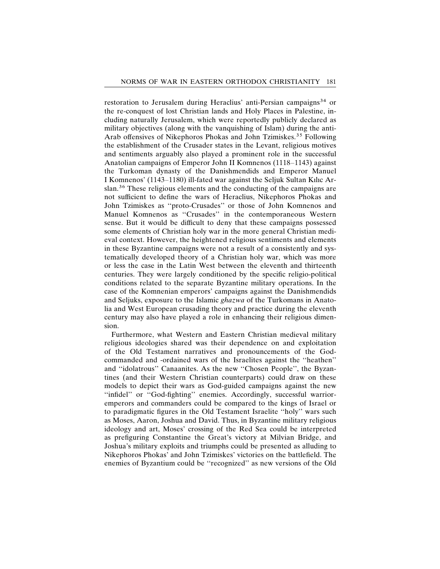restoration to Jerusalem during Heraclius' anti-Persian campaigns<sup>34</sup> or the re-conquest of lost Christian lands and Holy Places in Palestine, including naturally Jerusalem, which were reportedly publicly declared as military objectives (along with the vanquishing of Islam) during the anti-Arab offensives of Nikephoros Phokas and John Tzimiskes.<sup>35</sup> Following the establishment of the Crusader states in the Levant, religious motives and sentiments arguably also played a prominent role in the successful Anatolian campaigns of Emperor John II Komnenos (1118–1143) against the Turkoman dynasty of the Danishmendids and Emperor Manuel I Komnenos' (1143–1180) ill-fated war against the Seljuk Sultan Kılıc Arslan.<sup>36</sup> These religious elements and the conducting of the campaigns are not sufficient to define the wars of Heraclius, Nikephoros Phokas and John Tzimiskes as ''proto-Crusades'' or those of John Komnenos and Manuel Komnenos as ''Crusades'' in the contemporaneous Western sense. But it would be difficult to deny that these campaigns possessed some elements of Christian holy war in the more general Christian medieval context. However, the heightened religious sentiments and elements in these Byzantine campaigns were not a result of a consistently and systematically developed theory of a Christian holy war, which was more or less the case in the Latin West between the eleventh and thirteenth centuries. They were largely conditioned by the specific religio-political conditions related to the separate Byzantine military operations. In the case of the Komnenian emperors' campaigns against the Danishmendids and Seljuks, exposure to the Islamic ghazwa of the Turkomans in Anatolia and West European crusading theory and practice during the eleventh century may also have played a role in enhancing their religious dimension.

Furthermore, what Western and Eastern Christian medieval military religious ideologies shared was their dependence on and exploitation of the Old Testament narratives and pronouncements of the Godcommanded and -ordained wars of the Israelites against the ''heathen'' and ''idolatrous'' Canaanites. As the new ''Chosen People'', the Byzantines (and their Western Christian counterparts) could draw on these models to depict their wars as God-guided campaigns against the new "infidel" or "God-fighting" enemies. Accordingly, successful warrioremperors and commanders could be compared to the kings of Israel or to paradigmatic figures in the Old Testament Israelite ''holy'' wars such as Moses, Aaron, Joshua and David. Thus, in Byzantine military religious ideology and art, Moses' crossing of the Red Sea could be interpreted as prefiguring Constantine the Great's victory at Milvian Bridge, and Joshua's military exploits and triumphs could be presented as alluding to Nikephoros Phokas' and John Tzimiskes' victories on the battlefield. The enemies of Byzantium could be ''recognized'' as new versions of the Old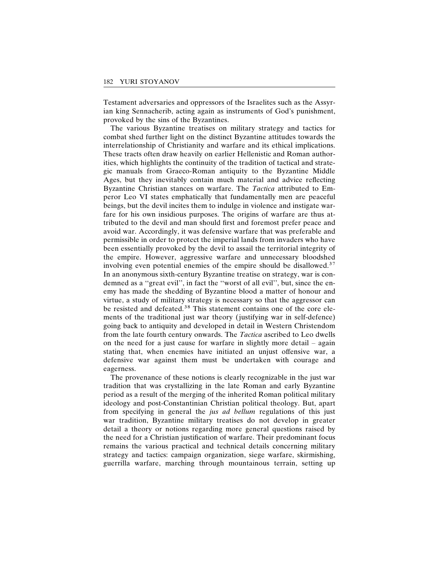Testament adversaries and oppressors of the Israelites such as the Assyrian king Sennacherib, acting again as instruments of God's punishment, provoked by the sins of the Byzantines.

The various Byzantine treatises on military strategy and tactics for combat shed further light on the distinct Byzantine attitudes towards the interrelationship of Christianity and warfare and its ethical implications. These tracts often draw heavily on earlier Hellenistic and Roman authorities, which highlights the continuity of the tradition of tactical and strategic manuals from Graeco-Roman antiquity to the Byzantine Middle Ages, but they inevitably contain much material and advice reflecting Byzantine Christian stances on warfare. The Tactica attributed to Emperor Leo VI states emphatically that fundamentally men are peaceful beings, but the devil incites them to indulge in violence and instigate warfare for his own insidious purposes. The origins of warfare are thus attributed to the devil and man should first and foremost prefer peace and avoid war. Accordingly, it was defensive warfare that was preferable and permissible in order to protect the imperial lands from invaders who have been essentially provoked by the devil to assail the territorial integrity of the empire. However, aggressive warfare and unnecessary bloodshed involving even potential enemies of the empire should be disallowed.<sup>37</sup> In an anonymous sixth-century Byzantine treatise on strategy, war is condemned as a ''great evil'', in fact the ''worst of all evil'', but, since the enemy has made the shedding of Byzantine blood a matter of honour and virtue, a study of military strategy is necessary so that the aggressor can be resisted and defeated.<sup>38</sup> This statement contains one of the core elements of the traditional just war theory (justifying war in self-defence) going back to antiquity and developed in detail in Western Christendom from the late fourth century onwards. The Tactica ascribed to Leo dwells on the need for a just cause for warfare in slightly more detail – again stating that, when enemies have initiated an unjust offensive war, a defensive war against them must be undertaken with courage and eagerness.

The provenance of these notions is clearly recognizable in the just war tradition that was crystallizing in the late Roman and early Byzantine period as a result of the merging of the inherited Roman political military ideology and post-Constantinian Christian political theology. But, apart from specifying in general the jus ad bellum regulations of this just war tradition, Byzantine military treatises do not develop in greater detail a theory or notions regarding more general questions raised by the need for a Christian justification of warfare. Their predominant focus remains the various practical and technical details concerning military strategy and tactics: campaign organization, siege warfare, skirmishing, guerrilla warfare, marching through mountainous terrain, setting up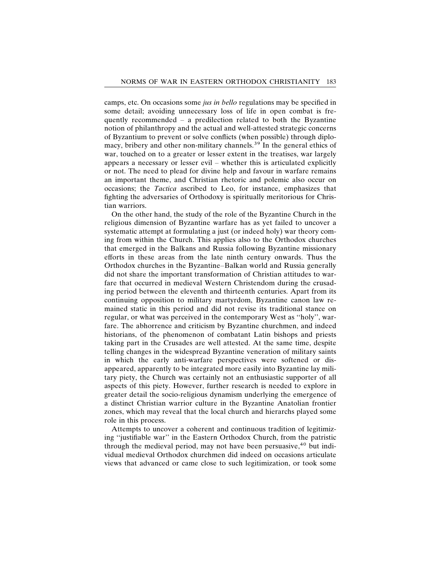camps, etc. On occasions some jus in bello regulations may be specified in some detail; avoiding unnecessary loss of life in open combat is frequently recommended – a predilection related to both the Byzantine notion of philanthropy and the actual and well-attested strategic concerns of Byzantium to prevent or solve conflicts (when possible) through diplomacy, bribery and other non-military channels.<sup>39</sup> In the general ethics of war, touched on to a greater or lesser extent in the treatises, war largely appears a necessary or lesser evil – whether this is articulated explicitly or not. The need to plead for divine help and favour in warfare remains an important theme, and Christian rhetoric and polemic also occur on occasions; the Tactica ascribed to Leo, for instance, emphasizes that fighting the adversaries of Orthodoxy is spiritually meritorious for Christian warriors.

On the other hand, the study of the role of the Byzantine Church in the religious dimension of Byzantine warfare has as yet failed to uncover a systematic attempt at formulating a just (or indeed holy) war theory coming from within the Church. This applies also to the Orthodox churches that emerged in the Balkans and Russia following Byzantine missionary efforts in these areas from the late ninth century onwards. Thus the Orthodox churches in the Byzantine–Balkan world and Russia generally did not share the important transformation of Christian attitudes to warfare that occurred in medieval Western Christendom during the crusading period between the eleventh and thirteenth centuries. Apart from its continuing opposition to military martyrdom, Byzantine canon law remained static in this period and did not revise its traditional stance on regular, or what was perceived in the contemporary West as ''holy'', warfare. The abhorrence and criticism by Byzantine churchmen, and indeed historians, of the phenomenon of combatant Latin bishops and priests taking part in the Crusades are well attested. At the same time, despite telling changes in the widespread Byzantine veneration of military saints in which the early anti-warfare perspectives were softened or disappeared, apparently to be integrated more easily into Byzantine lay military piety, the Church was certainly not an enthusiastic supporter of all aspects of this piety. However, further research is needed to explore in greater detail the socio-religious dynamism underlying the emergence of a distinct Christian warrior culture in the Byzantine Anatolian frontier zones, which may reveal that the local church and hierarchs played some role in this process.

Attempts to uncover a coherent and continuous tradition of legitimizing ''justifiable war'' in the Eastern Orthodox Church, from the patristic through the medieval period, may not have been persuasive,  $40$  but individual medieval Orthodox churchmen did indeed on occasions articulate views that advanced or came close to such legitimization, or took some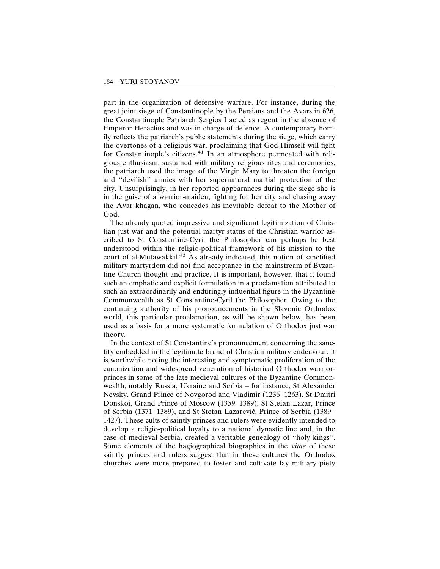part in the organization of defensive warfare. For instance, during the great joint siege of Constantinople by the Persians and the Avars in 626, the Constantinople Patriarch Sergios I acted as regent in the absence of Emperor Heraclius and was in charge of defence. A contemporary homily reflects the patriarch's public statements during the siege, which carry the overtones of a religious war, proclaiming that God Himself will fight for Constantinople's citizens.<sup>41</sup> In an atmosphere permeated with religious enthusiasm, sustained with military religious rites and ceremonies, the patriarch used the image of the Virgin Mary to threaten the foreign and ''devilish'' armies with her supernatural martial protection of the city. Unsurprisingly, in her reported appearances during the siege she is in the guise of a warrior-maiden, fighting for her city and chasing away the Avar khagan, who concedes his inevitable defeat to the Mother of God.

The already quoted impressive and significant legitimization of Christian just war and the potential martyr status of the Christian warrior ascribed to St Constantine-Cyril the Philosopher can perhaps be best understood within the religio-political framework of his mission to the court of al-Mutawakkil.<sup>42</sup> As already indicated, this notion of sanctified military martyrdom did not find acceptance in the mainstream of Byzantine Church thought and practice. It is important, however, that it found such an emphatic and explicit formulation in a proclamation attributed to such an extraordinarily and enduringly influential figure in the Byzantine Commonwealth as St Constantine-Cyril the Philosopher. Owing to the continuing authority of his pronouncements in the Slavonic Orthodox world, this particular proclamation, as will be shown below, has been used as a basis for a more systematic formulation of Orthodox just war theory.

In the context of St Constantine's pronouncement concerning the sanctity embedded in the legitimate brand of Christian military endeavour, it is worthwhile noting the interesting and symptomatic proliferation of the canonization and widespread veneration of historical Orthodox warriorprinces in some of the late medieval cultures of the Byzantine Commonwealth, notably Russia, Ukraine and Serbia – for instance, St Alexander Nevsky, Grand Prince of Novgorod and Vladimir (1236–1263), St Dmitri Donskoi, Grand Prince of Moscow (1359–1389), St Stefan Lazar, Prince of Serbia (1371–1389), and St Stefan Lazarević, Prince of Serbia (1389– 1427). These cults of saintly princes and rulers were evidently intended to develop a religio-political loyalty to a national dynastic line and, in the case of medieval Serbia, created a veritable genealogy of ''holy kings''. Some elements of the hagiographical biographies in the vitae of these saintly princes and rulers suggest that in these cultures the Orthodox churches were more prepared to foster and cultivate lay military piety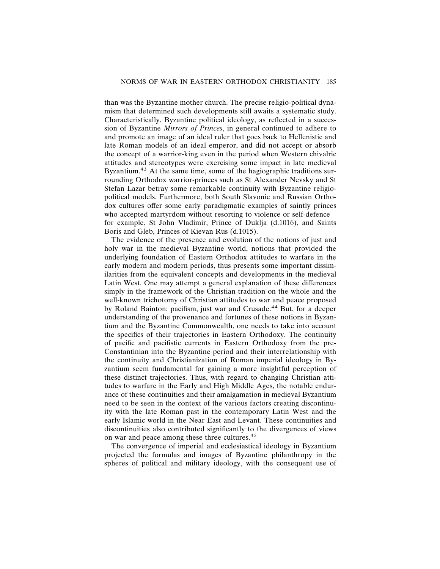than was the Byzantine mother church. The precise religio-political dynamism that determined such developments still awaits a systematic study. Characteristically, Byzantine political ideology, as reflected in a succession of Byzantine Mirrors of Princes, in general continued to adhere to and promote an image of an ideal ruler that goes back to Hellenistic and late Roman models of an ideal emperor, and did not accept or absorb the concept of a warrior-king even in the period when Western chivalric attitudes and stereotypes were exercising some impact in late medieval Byzantium.<sup>43</sup> At the same time, some of the hagiographic traditions surrounding Orthodox warrior-princes such as St Alexander Nevsky and St Stefan Lazar betray some remarkable continuity with Byzantine religiopolitical models. Furthermore, both South Slavonic and Russian Orthodox cultures offer some early paradigmatic examples of saintly princes who accepted martyrdom without resorting to violence or self-defence – for example, St John Vladimir, Prince of Duklja (d.1016), and Saints Boris and Gleb, Princes of Kievan Rus (d.1015).

The evidence of the presence and evolution of the notions of just and holy war in the medieval Byzantine world, notions that provided the underlying foundation of Eastern Orthodox attitudes to warfare in the early modern and modern periods, thus presents some important dissimilarities from the equivalent concepts and developments in the medieval Latin West. One may attempt a general explanation of these differences simply in the framework of the Christian tradition on the whole and the well-known trichotomy of Christian attitudes to war and peace proposed by Roland Bainton: pacifism, just war and Crusade.<sup>44</sup> But, for a deeper understanding of the provenance and fortunes of these notions in Byzantium and the Byzantine Commonwealth, one needs to take into account the specifics of their trajectories in Eastern Orthodoxy. The continuity of pacific and pacifistic currents in Eastern Orthodoxy from the pre-Constantinian into the Byzantine period and their interrelationship with the continuity and Christianization of Roman imperial ideology in Byzantium seem fundamental for gaining a more insightful perception of these distinct trajectories. Thus, with regard to changing Christian attitudes to warfare in the Early and High Middle Ages, the notable endurance of these continuities and their amalgamation in medieval Byzantium need to be seen in the context of the various factors creating discontinuity with the late Roman past in the contemporary Latin West and the early Islamic world in the Near East and Levant. These continuities and discontinuities also contributed significantly to the divergences of views on war and peace among these three cultures.45

The convergence of imperial and ecclesiastical ideology in Byzantium projected the formulas and images of Byzantine philanthropy in the spheres of political and military ideology, with the consequent use of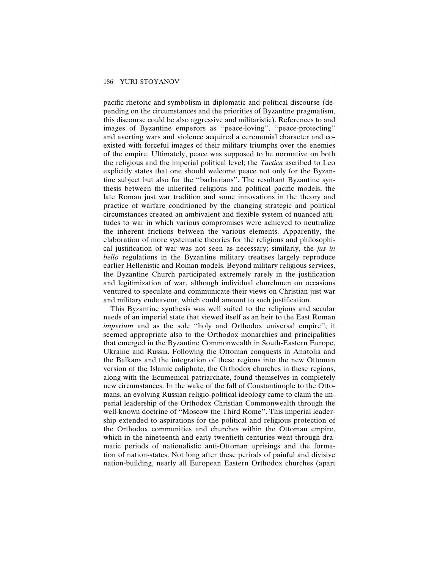pacific rhetoric and symbolism in diplomatic and political discourse (depending on the circumstances and the priorities of Byzantine pragmatism, this discourse could be also aggressive and militaristic). References to and images of Byzantine emperors as ''peace-loving'', ''peace-protecting'' and averting wars and violence acquired a ceremonial character and coexisted with forceful images of their military triumphs over the enemies of the empire. Ultimately, peace was supposed to be normative on both the religious and the imperial political level; the Tactica ascribed to Leo explicitly states that one should welcome peace not only for the Byzantine subject but also for the ''barbarians''. The resultant Byzantine synthesis between the inherited religious and political pacific models, the late Roman just war tradition and some innovations in the theory and practice of warfare conditioned by the changing strategic and political circumstances created an ambivalent and flexible system of nuanced attitudes to war in which various compromises were achieved to neutralize the inherent frictions between the various elements. Apparently, the elaboration of more systematic theories for the religious and philosophical justification of war was not seen as necessary; similarly, the jus in bello regulations in the Byzantine military treatises largely reproduce earlier Hellenistic and Roman models. Beyond military religious services, the Byzantine Church participated extremely rarely in the justification and legitimization of war, although individual churchmen on occasions ventured to speculate and communicate their views on Christian just war and military endeavour, which could amount to such justification.

This Byzantine synthesis was well suited to the religious and secular needs of an imperial state that viewed itself as an heir to the East Roman imperium and as the sole "holy and Orthodox universal empire"; it seemed appropriate also to the Orthodox monarchies and principalities that emerged in the Byzantine Commonwealth in South-Eastern Europe, Ukraine and Russia. Following the Ottoman conquests in Anatolia and the Balkans and the integration of these regions into the new Ottoman version of the Islamic caliphate, the Orthodox churches in these regions, along with the Ecumenical patriarchate, found themselves in completely new circumstances. In the wake of the fall of Constantinople to the Ottomans, an evolving Russian religio-political ideology came to claim the imperial leadership of the Orthodox Christian Commonwealth through the well-known doctrine of ''Moscow the Third Rome''. This imperial leadership extended to aspirations for the political and religious protection of the Orthodox communities and churches within the Ottoman empire, which in the nineteenth and early twentieth centuries went through dramatic periods of nationalistic anti-Ottoman uprisings and the formation of nation-states. Not long after these periods of painful and divisive nation-building, nearly all European Eastern Orthodox churches (apart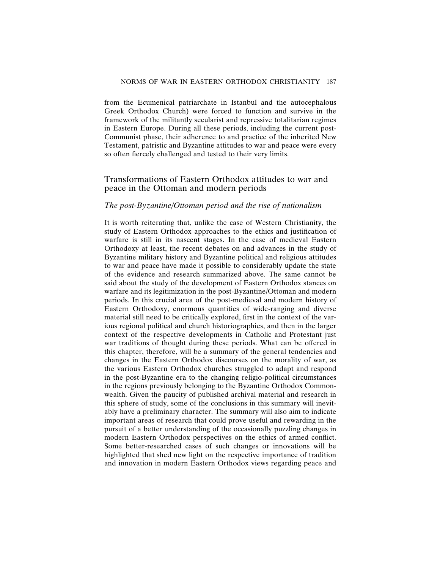from the Ecumenical patriarchate in Istanbul and the autocephalous Greek Orthodox Church) were forced to function and survive in the framework of the militantly secularist and repressive totalitarian regimes in Eastern Europe. During all these periods, including the current post-Communist phase, their adherence to and practice of the inherited New Testament, patristic and Byzantine attitudes to war and peace were every so often fiercely challenged and tested to their very limits.

## Transformations of Eastern Orthodox attitudes to war and peace in the Ottoman and modern periods

### The post-Byzantine/Ottoman period and the rise of nationalism

It is worth reiterating that, unlike the case of Western Christianity, the study of Eastern Orthodox approaches to the ethics and justification of warfare is still in its nascent stages. In the case of medieval Eastern Orthodoxy at least, the recent debates on and advances in the study of Byzantine military history and Byzantine political and religious attitudes to war and peace have made it possible to considerably update the state of the evidence and research summarized above. The same cannot be said about the study of the development of Eastern Orthodox stances on warfare and its legitimization in the post-Byzantine/Ottoman and modern periods. In this crucial area of the post-medieval and modern history of Eastern Orthodoxy, enormous quantities of wide-ranging and diverse material still need to be critically explored, first in the context of the various regional political and church historiographies, and then in the larger context of the respective developments in Catholic and Protestant just war traditions of thought during these periods. What can be offered in this chapter, therefore, will be a summary of the general tendencies and changes in the Eastern Orthodox discourses on the morality of war, as the various Eastern Orthodox churches struggled to adapt and respond in the post-Byzantine era to the changing religio-political circumstances in the regions previously belonging to the Byzantine Orthodox Commonwealth. Given the paucity of published archival material and research in this sphere of study, some of the conclusions in this summary will inevitably have a preliminary character. The summary will also aim to indicate important areas of research that could prove useful and rewarding in the pursuit of a better understanding of the occasionally puzzling changes in modern Eastern Orthodox perspectives on the ethics of armed conflict. Some better-researched cases of such changes or innovations will be highlighted that shed new light on the respective importance of tradition and innovation in modern Eastern Orthodox views regarding peace and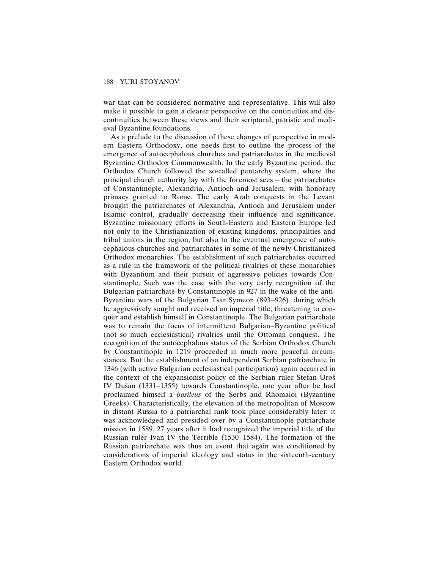war that can be considered normative and representative. This will also make it possible to gain a clearer perspective on the continuities and discontinuities between these views and their scriptural, patristic and medieval Byzantine foundations.

As a prelude to the discussion of these changes of perspective in modern Eastern Orthodoxy, one needs first to outline the process of the emergence of autocephalous churches and patriarchates in the medieval Byzantine Orthodox Commonwealth. In the early Byzantine period, the Orthodox Church followed the so-called pentarchy system, where the principal church authority lay with the foremost sees – the patriarchates of Constantinople, Alexandria, Antioch and Jerusalem, with honorary primacy granted to Rome. The early Arab conquests in the Levant brought the patriarchates of Alexandria, Antioch and Jerusalem under Islamic control, gradually decreasing their influence and significance. Byzantine missionary efforts in South-Eastern and Eastern Europe led not only to the Christianization of existing kingdoms, principalities and tribal unions in the region, but also to the eventual emergence of autocephalous churches and patriarchates in some of the newly Christianized Orthodox monarchies. The establishment of such patriarchates occurred as a rule in the framework of the political rivalries of these monarchies with Byzantium and their pursuit of aggressive policies towards Constantinople. Such was the case with the very early recognition of the Bulgarian patriarchate by Constantinople in 927 in the wake of the anti-Byzantine wars of the Bulgarian Tsar Symeon (893–926), during which he aggressively sought and received an imperial title, threatening to conquer and establish himself in Constantinople. The Bulgarian patriarchate was to remain the focus of intermittent Bulgarian–Byzantine political (not so much ecclesiastical) rivalries until the Ottoman conquest. The recognition of the autocephalous status of the Serbian Orthodox Church by Constantinople in 1219 proceeded in much more peaceful circumstances. But the establishment of an independent Serbian patriarchate in 1346 (with active Bulgarian ecclesiastical participation) again occurred in the context of the expansionist policy of the Serbian ruler Stefan Uros IV Dušan (1331–1355) towards Constantinople, one year after he had proclaimed himself a basileus of the Serbs and Rhomaioi (Byzantine Greeks). Characteristically, the elevation of the metropolitan of Moscow in distant Russia to a patriarchal rank took place considerably later: it was acknowledged and presided over by a Constantinople patriarchate mission in 1589, 27 years after it had recognized the imperial title of the Russian ruler Ivan IV the Terrible (1530–1584). The formation of the Russian patriarchate was thus an event that again was conditioned by considerations of imperial ideology and status in the sixteenth-century Eastern Orthodox world.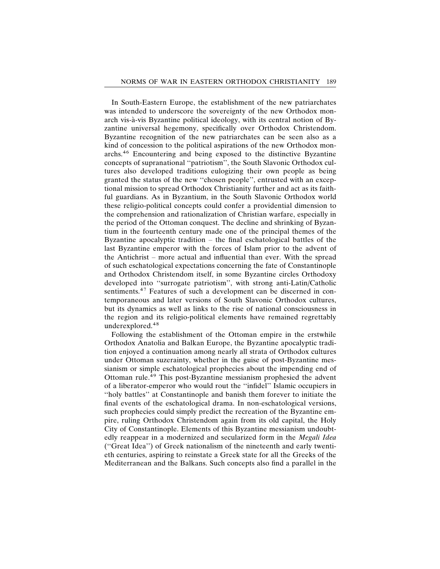In South-Eastern Europe, the establishment of the new patriarchates was intended to underscore the sovereignty of the new Orthodox monarch vis-a`-vis Byzantine political ideology, with its central notion of Byzantine universal hegemony, specifically over Orthodox Christendom. Byzantine recognition of the new patriarchates can be seen also as a kind of concession to the political aspirations of the new Orthodox monarchs.46 Encountering and being exposed to the distinctive Byzantine concepts of supranational ''patriotism'', the South Slavonic Orthodox cultures also developed traditions eulogizing their own people as being granted the status of the new ''chosen people'', entrusted with an exceptional mission to spread Orthodox Christianity further and act as its faithful guardians. As in Byzantium, in the South Slavonic Orthodox world these religio-political concepts could confer a providential dimension to the comprehension and rationalization of Christian warfare, especially in the period of the Ottoman conquest. The decline and shrinking of Byzantium in the fourteenth century made one of the principal themes of the Byzantine apocalyptic tradition – the final eschatological battles of the last Byzantine emperor with the forces of Islam prior to the advent of the Antichrist – more actual and influential than ever. With the spread of such eschatological expectations concerning the fate of Constantinople and Orthodox Christendom itself, in some Byzantine circles Orthodoxy developed into ''surrogate patriotism'', with strong anti-Latin/Catholic sentiments.<sup>47</sup> Features of such a development can be discerned in contemporaneous and later versions of South Slavonic Orthodox cultures, but its dynamics as well as links to the rise of national consciousness in the region and its religio-political elements have remained regrettably underexplored.48

Following the establishment of the Ottoman empire in the erstwhile Orthodox Anatolia and Balkan Europe, the Byzantine apocalyptic tradition enjoyed a continuation among nearly all strata of Orthodox cultures under Ottoman suzerainty, whether in the guise of post-Byzantine messianism or simple eschatological prophecies about the impending end of Ottoman rule.49 This post-Byzantine messianism prophesied the advent of a liberator-emperor who would rout the ''infidel'' Islamic occupiers in ''holy battles'' at Constantinople and banish them forever to initiate the final events of the eschatological drama. In non-eschatological versions, such prophecies could simply predict the recreation of the Byzantine empire, ruling Orthodox Christendom again from its old capital, the Holy City of Constantinople. Elements of this Byzantine messianism undoubtedly reappear in a modernized and secularized form in the Megali Idea (''Great Idea'') of Greek nationalism of the nineteenth and early twentieth centuries, aspiring to reinstate a Greek state for all the Greeks of the Mediterranean and the Balkans. Such concepts also find a parallel in the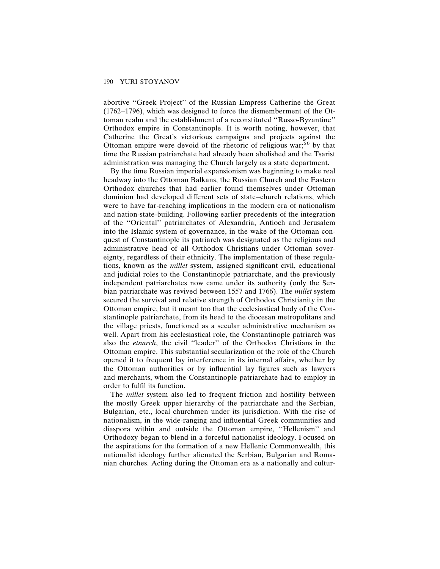abortive ''Greek Project'' of the Russian Empress Catherine the Great (1762–1796), which was designed to force the dismemberment of the Ottoman realm and the establishment of a reconstituted ''Russo-Byzantine'' Orthodox empire in Constantinople. It is worth noting, however, that Catherine the Great's victorious campaigns and projects against the Ottoman empire were devoid of the rhetoric of religious war;<sup>50</sup> by that time the Russian patriarchate had already been abolished and the Tsarist administration was managing the Church largely as a state department.

By the time Russian imperial expansionism was beginning to make real headway into the Ottoman Balkans, the Russian Church and the Eastern Orthodox churches that had earlier found themselves under Ottoman dominion had developed different sets of state–church relations, which were to have far-reaching implications in the modern era of nationalism and nation-state-building. Following earlier precedents of the integration of the ''Oriental'' patriarchates of Alexandria, Antioch and Jerusalem into the Islamic system of governance, in the wake of the Ottoman conquest of Constantinople its patriarch was designated as the religious and administrative head of all Orthodox Christians under Ottoman sovereignty, regardless of their ethnicity. The implementation of these regulations, known as the millet system, assigned significant civil, educational and judicial roles to the Constantinople patriarchate, and the previously independent patriarchates now came under its authority (only the Serbian patriarchate was revived between 1557 and 1766). The millet system secured the survival and relative strength of Orthodox Christianity in the Ottoman empire, but it meant too that the ecclesiastical body of the Constantinople patriarchate, from its head to the diocesan metropolitans and the village priests, functioned as a secular administrative mechanism as well. Apart from his ecclesiastical role, the Constantinople patriarch was also the etnarch, the civil ''leader'' of the Orthodox Christians in the Ottoman empire. This substantial secularization of the role of the Church opened it to frequent lay interference in its internal affairs, whether by the Ottoman authorities or by influential lay figures such as lawyers and merchants, whom the Constantinople patriarchate had to employ in order to fulfil its function.

The *millet* system also led to frequent friction and hostility between the mostly Greek upper hierarchy of the patriarchate and the Serbian, Bulgarian, etc., local churchmen under its jurisdiction. With the rise of nationalism, in the wide-ranging and influential Greek communities and diaspora within and outside the Ottoman empire, ''Hellenism'' and Orthodoxy began to blend in a forceful nationalist ideology. Focused on the aspirations for the formation of a new Hellenic Commonwealth, this nationalist ideology further alienated the Serbian, Bulgarian and Romanian churches. Acting during the Ottoman era as a nationally and cultur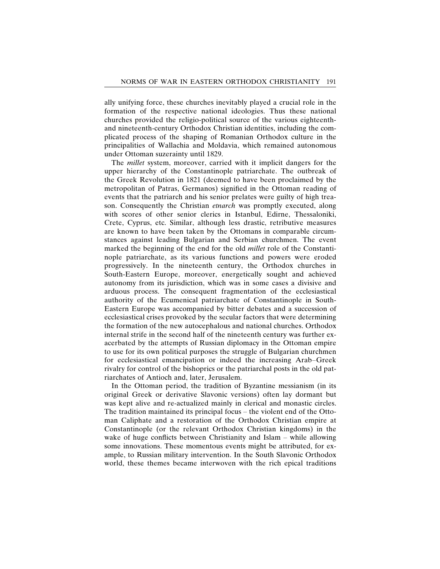ally unifying force, these churches inevitably played a crucial role in the formation of the respective national ideologies. Thus these national churches provided the religio-political source of the various eighteenthand nineteenth-century Orthodox Christian identities, including the complicated process of the shaping of Romanian Orthodox culture in the principalities of Wallachia and Moldavia, which remained autonomous under Ottoman suzerainty until 1829.

The *millet* system, moreover, carried with it implicit dangers for the upper hierarchy of the Constantinople patriarchate. The outbreak of the Greek Revolution in 1821 (deemed to have been proclaimed by the metropolitan of Patras, Germanos) signified in the Ottoman reading of events that the patriarch and his senior prelates were guilty of high treason. Consequently the Christian etnarch was promptly executed, along with scores of other senior clerics in Istanbul, Edirne, Thessaloniki, Crete, Cyprus, etc. Similar, although less drastic, retributive measures are known to have been taken by the Ottomans in comparable circumstances against leading Bulgarian and Serbian churchmen. The event marked the beginning of the end for the old millet role of the Constantinople patriarchate, as its various functions and powers were eroded progressively. In the nineteenth century, the Orthodox churches in South-Eastern Europe, moreover, energetically sought and achieved autonomy from its jurisdiction, which was in some cases a divisive and arduous process. The consequent fragmentation of the ecclesiastical authority of the Ecumenical patriarchate of Constantinople in South-Eastern Europe was accompanied by bitter debates and a succession of ecclesiastical crises provoked by the secular factors that were determining the formation of the new autocephalous and national churches. Orthodox internal strife in the second half of the nineteenth century was further exacerbated by the attempts of Russian diplomacy in the Ottoman empire to use for its own political purposes the struggle of Bulgarian churchmen for ecclesiastical emancipation or indeed the increasing Arab–Greek rivalry for control of the bishoprics or the patriarchal posts in the old patriarchates of Antioch and, later, Jerusalem.

In the Ottoman period, the tradition of Byzantine messianism (in its original Greek or derivative Slavonic versions) often lay dormant but was kept alive and re-actualized mainly in clerical and monastic circles. The tradition maintained its principal focus – the violent end of the Ottoman Caliphate and a restoration of the Orthodox Christian empire at Constantinople (or the relevant Orthodox Christian kingdoms) in the wake of huge conflicts between Christianity and Islam – while allowing some innovations. These momentous events might be attributed, for example, to Russian military intervention. In the South Slavonic Orthodox world, these themes became interwoven with the rich epical traditions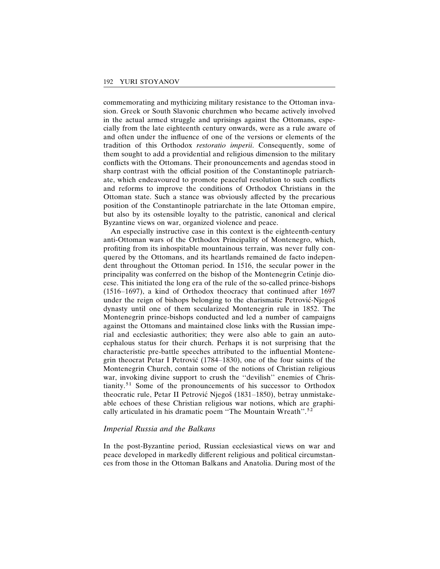commemorating and mythicizing military resistance to the Ottoman invasion. Greek or South Slavonic churchmen who became actively involved in the actual armed struggle and uprisings against the Ottomans, especially from the late eighteenth century onwards, were as a rule aware of and often under the influence of one of the versions or elements of the tradition of this Orthodox restoratio imperii. Consequently, some of them sought to add a providential and religious dimension to the military conflicts with the Ottomans. Their pronouncements and agendas stood in sharp contrast with the official position of the Constantinople patriarchate, which endeavoured to promote peaceful resolution to such conflicts and reforms to improve the conditions of Orthodox Christians in the Ottoman state. Such a stance was obviously affected by the precarious position of the Constantinople patriarchate in the late Ottoman empire, but also by its ostensible loyalty to the patristic, canonical and clerical Byzantine views on war, organized violence and peace.

An especially instructive case in this context is the eighteenth-century anti-Ottoman wars of the Orthodox Principality of Montenegro, which, profiting from its inhospitable mountainous terrain, was never fully conquered by the Ottomans, and its heartlands remained de facto independent throughout the Ottoman period. In 1516, the secular power in the principality was conferred on the bishop of the Montenegrin Cetinje diocese. This initiated the long era of the rule of the so-called prince-bishops (1516–1697), a kind of Orthodox theocracy that continued after 1697 under the reign of bishops belonging to the charismatic Petrović-Njegoš dynasty until one of them secularized Montenegrin rule in 1852. The Montenegrin prince-bishops conducted and led a number of campaigns against the Ottomans and maintained close links with the Russian imperial and ecclesiastic authorities; they were also able to gain an autocephalous status for their church. Perhaps it is not surprising that the characteristic pre-battle speeches attributed to the influential Montenegrin theocrat Petar I Petrovic´ (1784–1830), one of the four saints of the Montenegrin Church, contain some of the notions of Christian religious war, invoking divine support to crush the ''devilish'' enemies of Christianity.51 Some of the pronouncements of his successor to Orthodox theocratic rule, Petar II Petrović Njegoš (1831–1850), betray unmistakeable echoes of these Christian religious war notions, which are graphically articulated in his dramatic poem ''The Mountain Wreath''.52

#### Imperial Russia and the Balkans

In the post-Byzantine period, Russian ecclesiastical views on war and peace developed in markedly different religious and political circumstances from those in the Ottoman Balkans and Anatolia. During most of the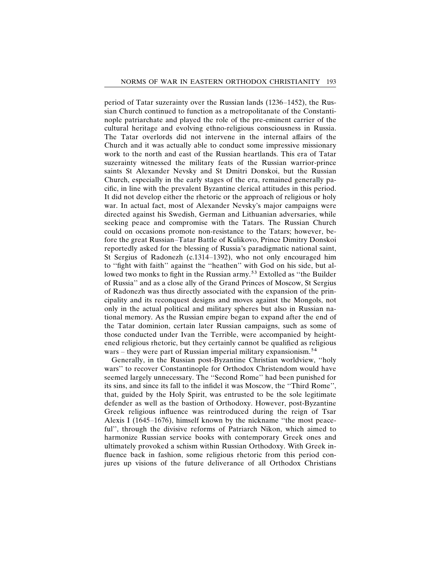period of Tatar suzerainty over the Russian lands (1236–1452), the Russian Church continued to function as a metropolitanate of the Constantinople patriarchate and played the role of the pre-eminent carrier of the cultural heritage and evolving ethno-religious consciousness in Russia. The Tatar overlords did not intervene in the internal affairs of the Church and it was actually able to conduct some impressive missionary work to the north and east of the Russian heartlands. This era of Tatar suzerainty witnessed the military feats of the Russian warrior-prince saints St Alexander Nevsky and St Dmitri Donskoi, but the Russian Church, especially in the early stages of the era, remained generally pacific, in line with the prevalent Byzantine clerical attitudes in this period. It did not develop either the rhetoric or the approach of religious or holy war. In actual fact, most of Alexander Nevsky's major campaigns were directed against his Swedish, German and Lithuanian adversaries, while seeking peace and compromise with the Tatars. The Russian Church could on occasions promote non-resistance to the Tatars; however, before the great Russian–Tatar Battle of Kulikovo, Prince Dimitry Donskoi reportedly asked for the blessing of Russia's paradigmatic national saint, St Sergius of Radonezh (c.1314–1392), who not only encouraged him to ''fight with faith'' against the ''heathen'' with God on his side, but allowed two monks to fight in the Russian army.<sup>53</sup> Extolled as "the Builder" of Russia'' and as a close ally of the Grand Princes of Moscow, St Sergius of Radonezh was thus directly associated with the expansion of the principality and its reconquest designs and moves against the Mongols, not only in the actual political and military spheres but also in Russian national memory. As the Russian empire began to expand after the end of the Tatar dominion, certain later Russian campaigns, such as some of those conducted under Ivan the Terrible, were accompanied by heightened religious rhetoric, but they certainly cannot be qualified as religious wars – they were part of Russian imperial military expansionism.<sup>54</sup>

Generally, in the Russian post-Byzantine Christian worldview, ''holy wars'' to recover Constantinople for Orthodox Christendom would have seemed largely unnecessary. The ''Second Rome'' had been punished for its sins, and since its fall to the infidel it was Moscow, the ''Third Rome'', that, guided by the Holy Spirit, was entrusted to be the sole legitimate defender as well as the bastion of Orthodoxy. However, post-Byzantine Greek religious influence was reintroduced during the reign of Tsar Alexis I (1645–1676), himself known by the nickname ''the most peaceful'', through the divisive reforms of Patriarch Nikon, which aimed to harmonize Russian service books with contemporary Greek ones and ultimately provoked a schism within Russian Orthodoxy. With Greek influence back in fashion, some religious rhetoric from this period conjures up visions of the future deliverance of all Orthodox Christians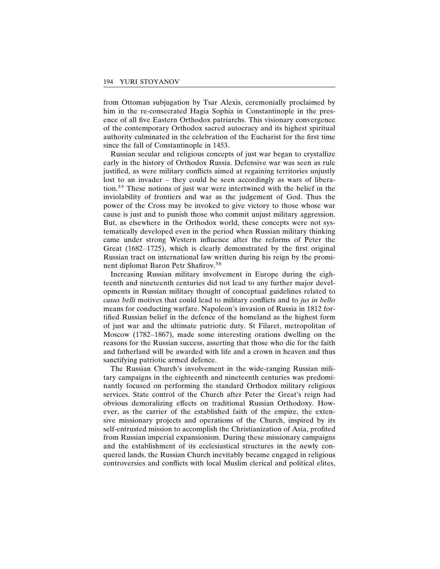from Ottoman subjugation by Tsar Alexis, ceremonially proclaimed by him in the re-consecrated Hagia Sophia in Constantinople in the presence of all five Eastern Orthodox patriarchs. This visionary convergence of the contemporary Orthodox sacred autocracy and its highest spiritual authority culminated in the celebration of the Eucharist for the first time since the fall of Constantinople in 1453.

Russian secular and religious concepts of just war began to crystallize early in the history of Orthodox Russia. Defensive war was seen as rule justified, as were military conflicts aimed at regaining territories unjustly lost to an invader – they could be seen accordingly as wars of liberation.55 These notions of just war were intertwined with the belief in the inviolability of frontiers and war as the judgement of God. Thus the power of the Cross may be invoked to give victory to those whose war cause is just and to punish those who commit unjust military aggression. But, as elsewhere in the Orthodox world, these concepts were not systematically developed even in the period when Russian military thinking came under strong Western influence after the reforms of Peter the Great (1682–1725), which is clearly demonstrated by the first original Russian tract on international law written during his reign by the prominent diplomat Baron Petr Shafirov.56

Increasing Russian military involvement in Europe during the eighteenth and nineteenth centuries did not lead to any further major developments in Russian military thought of conceptual guidelines related to casus belli motives that could lead to military conflicts and to jus in bello means for conducting warfare. Napoleon's invasion of Russia in 1812 fortified Russian belief in the defence of the homeland as the highest form of just war and the ultimate patriotic duty. St Filaret, metropolitan of Moscow (1782–1867), made some interesting orations dwelling on the reasons for the Russian success, asserting that those who die for the faith and fatherland will be awarded with life and a crown in heaven and thus sanctifying patriotic armed defence.

The Russian Church's involvement in the wide-ranging Russian military campaigns in the eighteenth and nineteenth centuries was predominantly focused on performing the standard Orthodox military religious services. State control of the Church after Peter the Great's reign had obvious demoralizing effects on traditional Russian Orthodoxy. However, as the carrier of the established faith of the empire, the extensive missionary projects and operations of the Church, inspired by its self-entrusted mission to accomplish the Christianization of Asia, profited from Russian imperial expansionism. During these missionary campaigns and the establishment of its ecclesiastical structures in the newly conquered lands, the Russian Church inevitably became engaged in religious controversies and conflicts with local Muslim clerical and political elites,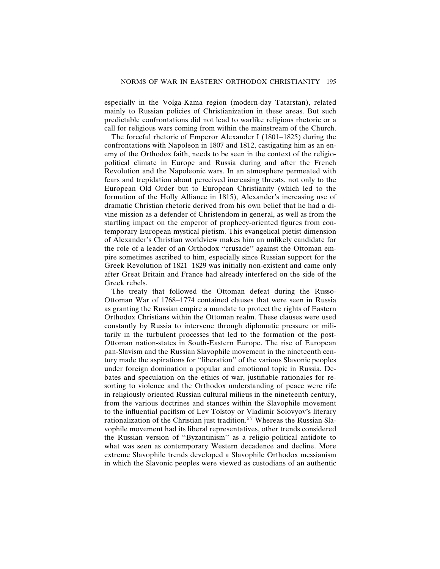especially in the Volga-Kama region (modern-day Tatarstan), related mainly to Russian policies of Christianization in these areas. But such predictable confrontations did not lead to warlike religious rhetoric or a call for religious wars coming from within the mainstream of the Church.

The forceful rhetoric of Emperor Alexander I (1801–1825) during the confrontations with Napoleon in 1807 and 1812, castigating him as an enemy of the Orthodox faith, needs to be seen in the context of the religiopolitical climate in Europe and Russia during and after the French Revolution and the Napoleonic wars. In an atmosphere permeated with fears and trepidation about perceived increasing threats, not only to the European Old Order but to European Christianity (which led to the formation of the Holly Alliance in 1815), Alexander's increasing use of dramatic Christian rhetoric derived from his own belief that he had a divine mission as a defender of Christendom in general, as well as from the startling impact on the emperor of prophecy-oriented figures from contemporary European mystical pietism. This evangelical pietist dimension of Alexander's Christian worldview makes him an unlikely candidate for the role of a leader of an Orthodox ''crusade'' against the Ottoman empire sometimes ascribed to him, especially since Russian support for the Greek Revolution of 1821–1829 was initially non-existent and came only after Great Britain and France had already interfered on the side of the Greek rebels.

The treaty that followed the Ottoman defeat during the Russo-Ottoman War of 1768–1774 contained clauses that were seen in Russia as granting the Russian empire a mandate to protect the rights of Eastern Orthodox Christians within the Ottoman realm. These clauses were used constantly by Russia to intervene through diplomatic pressure or militarily in the turbulent processes that led to the formation of the post-Ottoman nation-states in South-Eastern Europe. The rise of European pan-Slavism and the Russian Slavophile movement in the nineteenth century made the aspirations for ''liberation'' of the various Slavonic peoples under foreign domination a popular and emotional topic in Russia. Debates and speculation on the ethics of war, justifiable rationales for resorting to violence and the Orthodox understanding of peace were rife in religiously oriented Russian cultural milieus in the nineteenth century, from the various doctrines and stances within the Slavophile movement to the influential pacifism of Lev Tolstoy or Vladimir Solovyov's literary rationalization of the Christian just tradition.<sup>57</sup> Whereas the Russian Slavophile movement had its liberal representatives, other trends considered the Russian version of ''Byzantinism'' as a religio-political antidote to what was seen as contemporary Western decadence and decline. More extreme Slavophile trends developed a Slavophile Orthodox messianism in which the Slavonic peoples were viewed as custodians of an authentic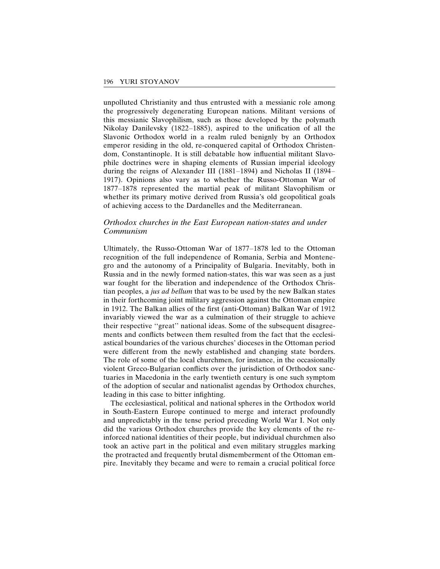unpolluted Christianity and thus entrusted with a messianic role among the progressively degenerating European nations. Militant versions of this messianic Slavophilism, such as those developed by the polymath Nikolay Danilevsky (1822–1885), aspired to the unification of all the Slavonic Orthodox world in a realm ruled benignly by an Orthodox emperor residing in the old, re-conquered capital of Orthodox Christendom, Constantinople. It is still debatable how influential militant Slavophile doctrines were in shaping elements of Russian imperial ideology during the reigns of Alexander III (1881–1894) and Nicholas II (1894– 1917). Opinions also vary as to whether the Russo-Ottoman War of 1877–1878 represented the martial peak of militant Slavophilism or whether its primary motive derived from Russia's old geopolitical goals of achieving access to the Dardanelles and the Mediterranean.

#### Orthodox churches in the East European nation-states and under Communism

Ultimately, the Russo-Ottoman War of 1877–1878 led to the Ottoman recognition of the full independence of Romania, Serbia and Montenegro and the autonomy of a Principality of Bulgaria. Inevitably, both in Russia and in the newly formed nation-states, this war was seen as a just war fought for the liberation and independence of the Orthodox Christian peoples, a jus ad bellum that was to be used by the new Balkan states in their forthcoming joint military aggression against the Ottoman empire in 1912. The Balkan allies of the first (anti-Ottoman) Balkan War of 1912 invariably viewed the war as a culmination of their struggle to achieve their respective ''great'' national ideas. Some of the subsequent disagreements and conflicts between them resulted from the fact that the ecclesiastical boundaries of the various churches' dioceses in the Ottoman period were different from the newly established and changing state borders. The role of some of the local churchmen, for instance, in the occasionally violent Greco-Bulgarian conflicts over the jurisdiction of Orthodox sanctuaries in Macedonia in the early twentieth century is one such symptom of the adoption of secular and nationalist agendas by Orthodox churches, leading in this case to bitter infighting.

The ecclesiastical, political and national spheres in the Orthodox world in South-Eastern Europe continued to merge and interact profoundly and unpredictably in the tense period preceding World War I. Not only did the various Orthodox churches provide the key elements of the reinforced national identities of their people, but individual churchmen also took an active part in the political and even military struggles marking the protracted and frequently brutal dismemberment of the Ottoman empire. Inevitably they became and were to remain a crucial political force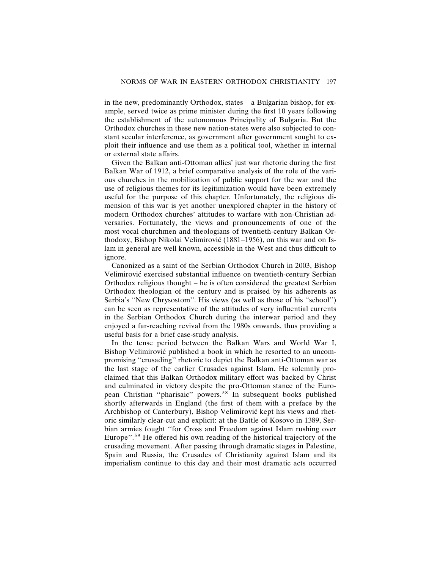in the new, predominantly Orthodox, states – a Bulgarian bishop, for example, served twice as prime minister during the first 10 years following the establishment of the autonomous Principality of Bulgaria. But the Orthodox churches in these new nation-states were also subjected to constant secular interference, as government after government sought to exploit their influence and use them as a political tool, whether in internal or external state affairs.

Given the Balkan anti-Ottoman allies' just war rhetoric during the first Balkan War of 1912, a brief comparative analysis of the role of the various churches in the mobilization of public support for the war and the use of religious themes for its legitimization would have been extremely useful for the purpose of this chapter. Unfortunately, the religious dimension of this war is yet another unexplored chapter in the history of modern Orthodox churches' attitudes to warfare with non-Christian adversaries. Fortunately, the views and pronouncements of one of the most vocal churchmen and theologians of twentieth-century Balkan Orthodoxy, Bishop Nikolai Velimirovic´ (1881–1956), on this war and on Islam in general are well known, accessible in the West and thus difficult to ignore.

Canonized as a saint of the Serbian Orthodox Church in 2003, Bishop Velimirovic´ exercised substantial influence on twentieth-century Serbian Orthodox religious thought – he is often considered the greatest Serbian Orthodox theologian of the century and is praised by his adherents as Serbia's ''New Chrysostom''. His views (as well as those of his ''school'') can be seen as representative of the attitudes of very influential currents in the Serbian Orthodox Church during the interwar period and they enjoyed a far-reaching revival from the 1980s onwards, thus providing a useful basis for a brief case-study analysis.

In the tense period between the Balkan Wars and World War I, Bishop Velimirović published a book in which he resorted to an uncompromising ''crusading'' rhetoric to depict the Balkan anti-Ottoman war as the last stage of the earlier Crusades against Islam. He solemnly proclaimed that this Balkan Orthodox military effort was backed by Christ and culminated in victory despite the pro-Ottoman stance of the European Christian "pharisaic" powers.<sup>58</sup> In subsequent books published shortly afterwards in England (the first of them with a preface by the Archbishop of Canterbury), Bishop Velimirović kept his views and rhetoric similarly clear-cut and explicit: at the Battle of Kosovo in 1389, Serbian armies fought ''for Cross and Freedom against Islam rushing over Europe".<sup>59</sup> He offered his own reading of the historical trajectory of the crusading movement. After passing through dramatic stages in Palestine, Spain and Russia, the Crusades of Christianity against Islam and its imperialism continue to this day and their most dramatic acts occurred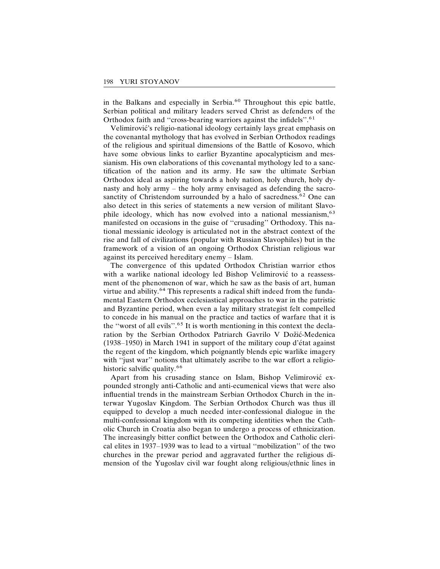in the Balkans and especially in Serbia.<sup>60</sup> Throughout this epic battle, Serbian political and military leaders served Christ as defenders of the Orthodox faith and ''cross-bearing warriors against the infidels''.61

Velimirovic´'s religio-national ideology certainly lays great emphasis on the covenantal mythology that has evolved in Serbian Orthodox readings of the religious and spiritual dimensions of the Battle of Kosovo, which have some obvious links to earlier Byzantine apocalypticism and messianism. His own elaborations of this covenantal mythology led to a sanctification of the nation and its army. He saw the ultimate Serbian Orthodox ideal as aspiring towards a holy nation, holy church, holy dynasty and holy army – the holy army envisaged as defending the sacrosanctity of Christendom surrounded by a halo of sacredness.<sup>62</sup> One can also detect in this series of statements a new version of militant Slavophile ideology, which has now evolved into a national messianism,  $6<sup>3</sup>$ manifested on occasions in the guise of ''crusading'' Orthodoxy. This national messianic ideology is articulated not in the abstract context of the rise and fall of civilizations (popular with Russian Slavophiles) but in the framework of a vision of an ongoing Orthodox Christian religious war against its perceived hereditary enemy – Islam.

The convergence of this updated Orthodox Christian warrior ethos with a warlike national ideology led Bishop Velimirovic<sup>t</sup> to a reassessment of the phenomenon of war, which he saw as the basis of art, human virtue and ability.<sup>64</sup> This represents a radical shift indeed from the fundamental Eastern Orthodox ecclesiastical approaches to war in the patristic and Byzantine period, when even a lay military strategist felt compelled to concede in his manual on the practice and tactics of warfare that it is the ''worst of all evils''.65 It is worth mentioning in this context the declaration by the Serbian Orthodox Patriarch Gavrilo V Dožić-Medenica  $(1938-1950)$  in March 1941 in support of the military coup d'état against the regent of the kingdom, which poignantly blends epic warlike imagery with "just war" notions that ultimately ascribe to the war effort a religiohistoric salvific quality.<sup>66</sup>

Apart from his crusading stance on Islam, Bishop Velimirović expounded strongly anti-Catholic and anti-ecumenical views that were also influential trends in the mainstream Serbian Orthodox Church in the interwar Yugoslav Kingdom. The Serbian Orthodox Church was thus ill equipped to develop a much needed inter-confessional dialogue in the multi-confessional kingdom with its competing identities when the Catholic Church in Croatia also began to undergo a process of ethnicization. The increasingly bitter conflict between the Orthodox and Catholic clerical elites in 1937–1939 was to lead to a virtual ''mobilization'' of the two churches in the prewar period and aggravated further the religious dimension of the Yugoslav civil war fought along religious/ethnic lines in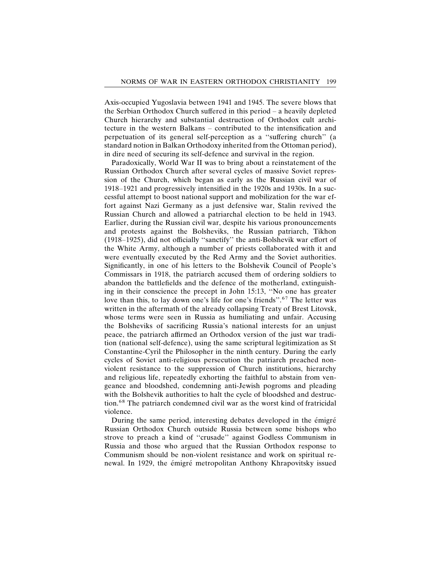Axis-occupied Yugoslavia between 1941 and 1945. The severe blows that the Serbian Orthodox Church suffered in this period – a heavily depleted Church hierarchy and substantial destruction of Orthodox cult architecture in the western Balkans – contributed to the intensification and perpetuation of its general self-perception as a ''suffering church'' (a standard notion in Balkan Orthodoxy inherited from the Ottoman period), in dire need of securing its self-defence and survival in the region.

Paradoxically, World War II was to bring about a reinstatement of the Russian Orthodox Church after several cycles of massive Soviet repression of the Church, which began as early as the Russian civil war of 1918–1921 and progressively intensified in the 1920s and 1930s. In a successful attempt to boost national support and mobilization for the war effort against Nazi Germany as a just defensive war, Stalin revived the Russian Church and allowed a patriarchal election to be held in 1943. Earlier, during the Russian civil war, despite his various pronouncements and protests against the Bolsheviks, the Russian patriarch, Tikhon (1918–1925), did not officially ''sanctify'' the anti-Bolshevik war effort of the White Army, although a number of priests collaborated with it and were eventually executed by the Red Army and the Soviet authorities. Significantly, in one of his letters to the Bolshevik Council of People's Commissars in 1918, the patriarch accused them of ordering soldiers to abandon the battlefields and the defence of the motherland, extinguishing in their conscience the precept in John 15:13, ''No one has greater love than this, to lay down one's life for one's friends".<sup>67</sup> The letter was written in the aftermath of the already collapsing Treaty of Brest Litovsk, whose terms were seen in Russia as humiliating and unfair. Accusing the Bolsheviks of sacrificing Russia's national interests for an unjust peace, the patriarch affirmed an Orthodox version of the just war tradition (national self-defence), using the same scriptural legitimization as St Constantine-Cyril the Philosopher in the ninth century. During the early cycles of Soviet anti-religious persecution the patriarch preached nonviolent resistance to the suppression of Church institutions, hierarchy and religious life, repeatedly exhorting the faithful to abstain from vengeance and bloodshed, condemning anti-Jewish pogroms and pleading with the Bolshevik authorities to halt the cycle of bloodshed and destruction.68 The patriarch condemned civil war as the worst kind of fratricidal violence.

During the same period, interesting debates developed in the émigré Russian Orthodox Church outside Russia between some bishops who strove to preach a kind of ''crusade'' against Godless Communism in Russia and those who argued that the Russian Orthodox response to Communism should be non-violent resistance and work on spiritual renewal. In 1929, the émigré metropolitan Anthony Khrapovitsky issued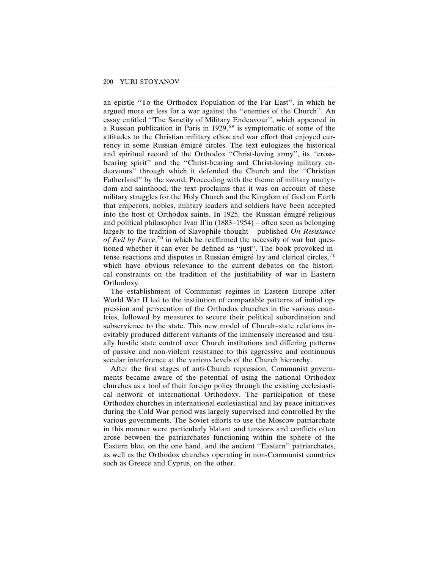an epistle ''To the Orthodox Population of the Far East'', in which he argued more or less for a war against the ''enemies of the Church''. An essay entitled ''The Sanctity of Military Endeavour'', which appeared in a Russian publication in Paris in  $1929,69$  is symptomatic of some of the attitudes to the Christian military ethos and war effort that enjoyed currency in some Russian émigré circles. The text eulogizes the historical and spiritual record of the Orthodox ''Christ-loving army'', its ''crossbearing spirit'' and the ''Christ-bearing and Christ-loving military endeavours'' through which it defended the Church and the ''Christian Fatherland'' by the sword. Proceeding with the theme of military martyrdom and sainthood, the text proclaims that it was on account of these military struggles for the Holy Church and the Kingdom of God on Earth that emperors, nobles, military leaders and soldiers have been accepted into the host of Orthodox saints. In 1925, the Russian émigré religious and political philosopher Ivan Il'in (1883–1954) – often seen as belonging largely to the tradition of Slavophile thought – published On Resistance of Evil by Force,<sup>70</sup> in which he reaffirmed the necessity of war but questioned whether it can ever be defined as ''just''. The book provoked intense reactions and disputes in Russian émigré lay and clerical circles, $71$ which have obvious relevance to the current debates on the historical constraints on the tradition of the justifiability of war in Eastern Orthodoxy.

The establishment of Communist regimes in Eastern Europe after World War II led to the institution of comparable patterns of initial oppression and persecution of the Orthodox churches in the various countries, followed by measures to secure their political subordination and subservience to the state. This new model of Church–state relations inevitably produced different variants of the immensely increased and usually hostile state control over Church institutions and differing patterns of passive and non-violent resistance to this aggressive and continuous secular interference at the various levels of the Church hierarchy.

After the first stages of anti-Church repression, Communist governments became aware of the potential of using the national Orthodox churches as a tool of their foreign policy through the existing ecclesiastical network of international Orthodoxy. The participation of these Orthodox churches in international ecclesiastical and lay peace initiatives during the Cold War period was largely supervised and controlled by the various governments. The Soviet efforts to use the Moscow patriarchate in this manner were particularly blatant and tensions and conflicts often arose between the patriarchates functioning within the sphere of the Eastern bloc, on the one hand, and the ancient ''Eastern'' patriarchates, as well as the Orthodox churches operating in non-Communist countries such as Greece and Cyprus, on the other.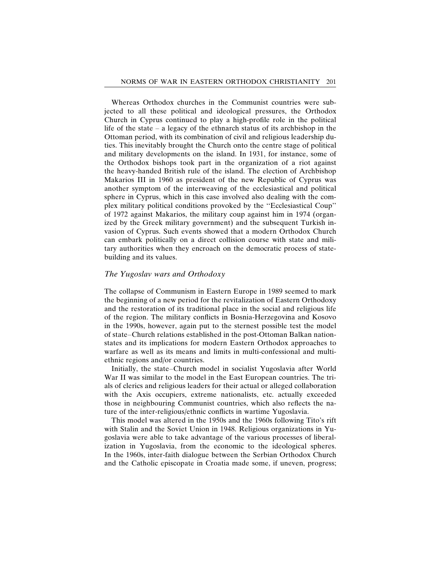Whereas Orthodox churches in the Communist countries were subjected to all these political and ideological pressures, the Orthodox Church in Cyprus continued to play a high-profile role in the political life of the state – a legacy of the ethnarch status of its archbishop in the Ottoman period, with its combination of civil and religious leadership duties. This inevitably brought the Church onto the centre stage of political and military developments on the island. In 1931, for instance, some of the Orthodox bishops took part in the organization of a riot against the heavy-handed British rule of the island. The election of Archbishop Makarios III in 1960 as president of the new Republic of Cyprus was another symptom of the interweaving of the ecclesiastical and political sphere in Cyprus, which in this case involved also dealing with the complex military political conditions provoked by the ''Ecclesiastical Coup'' of 1972 against Makarios, the military coup against him in 1974 (organized by the Greek military government) and the subsequent Turkish invasion of Cyprus. Such events showed that a modern Orthodox Church can embark politically on a direct collision course with state and military authorities when they encroach on the democratic process of statebuilding and its values.

#### The Yugoslav wars and Orthodoxy

The collapse of Communism in Eastern Europe in 1989 seemed to mark the beginning of a new period for the revitalization of Eastern Orthodoxy and the restoration of its traditional place in the social and religious life of the region. The military conflicts in Bosnia-Herzegovina and Kosovo in the 1990s, however, again put to the sternest possible test the model of state–Church relations established in the post-Ottoman Balkan nationstates and its implications for modern Eastern Orthodox approaches to warfare as well as its means and limits in multi-confessional and multiethnic regions and/or countries.

Initially, the state–Church model in socialist Yugoslavia after World War II was similar to the model in the East European countries. The trials of clerics and religious leaders for their actual or alleged collaboration with the Axis occupiers, extreme nationalists, etc. actually exceeded those in neighbouring Communist countries, which also reflects the nature of the inter-religious/ethnic conflicts in wartime Yugoslavia.

This model was altered in the 1950s and the 1960s following Tito's rift with Stalin and the Soviet Union in 1948. Religious organizations in Yugoslavia were able to take advantage of the various processes of liberalization in Yugoslavia, from the economic to the ideological spheres. In the 1960s, inter-faith dialogue between the Serbian Orthodox Church and the Catholic episcopate in Croatia made some, if uneven, progress;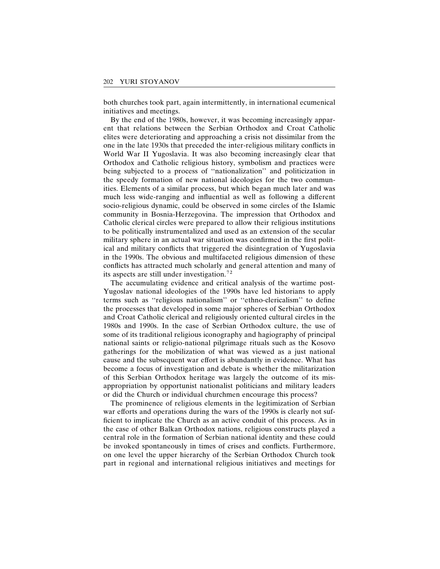both churches took part, again intermittently, in international ecumenical initiatives and meetings.

By the end of the 1980s, however, it was becoming increasingly apparent that relations between the Serbian Orthodox and Croat Catholic elites were deteriorating and approaching a crisis not dissimilar from the one in the late 1930s that preceded the inter-religious military conflicts in World War II Yugoslavia. It was also becoming increasingly clear that Orthodox and Catholic religious history, symbolism and practices were being subjected to a process of ''nationalization'' and politicization in the speedy formation of new national ideologies for the two communities. Elements of a similar process, but which began much later and was much less wide-ranging and influential as well as following a different socio-religious dynamic, could be observed in some circles of the Islamic community in Bosnia-Herzegovina. The impression that Orthodox and Catholic clerical circles were prepared to allow their religious institutions to be politically instrumentalized and used as an extension of the secular military sphere in an actual war situation was confirmed in the first political and military conflicts that triggered the disintegration of Yugoslavia in the 1990s. The obvious and multifaceted religious dimension of these conflicts has attracted much scholarly and general attention and many of its aspects are still under investigation.72

The accumulating evidence and critical analysis of the wartime post-Yugoslav national ideologies of the 1990s have led historians to apply terms such as ''religious nationalism'' or ''ethno-clericalism'' to define the processes that developed in some major spheres of Serbian Orthodox and Croat Catholic clerical and religiously oriented cultural circles in the 1980s and 1990s. In the case of Serbian Orthodox culture, the use of some of its traditional religious iconography and hagiography of principal national saints or religio-national pilgrimage rituals such as the Kosovo gatherings for the mobilization of what was viewed as a just national cause and the subsequent war effort is abundantly in evidence. What has become a focus of investigation and debate is whether the militarization of this Serbian Orthodox heritage was largely the outcome of its misappropriation by opportunist nationalist politicians and military leaders or did the Church or individual churchmen encourage this process?

The prominence of religious elements in the legitimization of Serbian war efforts and operations during the wars of the 1990s is clearly not sufficient to implicate the Church as an active conduit of this process. As in the case of other Balkan Orthodox nations, religious constructs played a central role in the formation of Serbian national identity and these could be invoked spontaneously in times of crises and conflicts. Furthermore, on one level the upper hierarchy of the Serbian Orthodox Church took part in regional and international religious initiatives and meetings for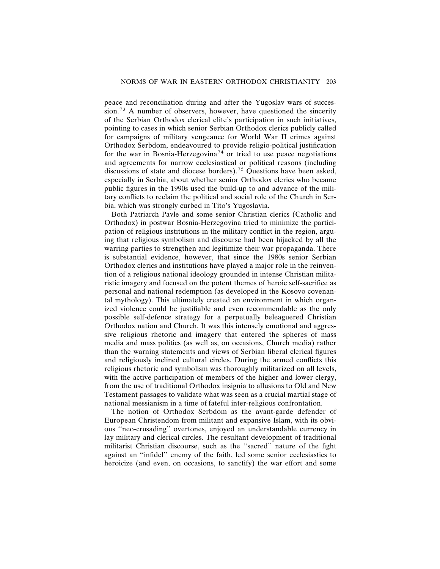peace and reconciliation during and after the Yugoslav wars of succession.<sup>73</sup> A number of observers, however, have questioned the sincerity of the Serbian Orthodox clerical elite's participation in such initiatives, pointing to cases in which senior Serbian Orthodox clerics publicly called for campaigns of military vengeance for World War II crimes against Orthodox Serbdom, endeavoured to provide religio-political justification for the war in Bosnia-Herzegovina<sup>74</sup> or tried to use peace negotiations and agreements for narrow ecclesiastical or political reasons (including discussions of state and diocese borders).75 Questions have been asked, especially in Serbia, about whether senior Orthodox clerics who became public figures in the 1990s used the build-up to and advance of the military conflicts to reclaim the political and social role of the Church in Serbia, which was strongly curbed in Tito's Yugoslavia.

Both Patriarch Pavle and some senior Christian clerics (Catholic and Orthodox) in postwar Bosnia-Herzegovina tried to minimize the participation of religious institutions in the military conflict in the region, arguing that religious symbolism and discourse had been hijacked by all the warring parties to strengthen and legitimize their war propaganda. There is substantial evidence, however, that since the 1980s senior Serbian Orthodox clerics and institutions have played a major role in the reinvention of a religious national ideology grounded in intense Christian militaristic imagery and focused on the potent themes of heroic self-sacrifice as personal and national redemption (as developed in the Kosovo covenantal mythology). This ultimately created an environment in which organized violence could be justifiable and even recommendable as the only possible self-defence strategy for a perpetually beleaguered Christian Orthodox nation and Church. It was this intensely emotional and aggressive religious rhetoric and imagery that entered the spheres of mass media and mass politics (as well as, on occasions, Church media) rather than the warning statements and views of Serbian liberal clerical figures and religiously inclined cultural circles. During the armed conflicts this religious rhetoric and symbolism was thoroughly militarized on all levels, with the active participation of members of the higher and lower clergy, from the use of traditional Orthodox insignia to allusions to Old and New Testament passages to validate what was seen as a crucial martial stage of national messianism in a time of fateful inter-religious confrontation.

The notion of Orthodox Serbdom as the avant-garde defender of European Christendom from militant and expansive Islam, with its obvious ''neo-crusading'' overtones, enjoyed an understandable currency in lay military and clerical circles. The resultant development of traditional militarist Christian discourse, such as the ''sacred'' nature of the fight against an ''infidel'' enemy of the faith, led some senior ecclesiastics to heroicize (and even, on occasions, to sanctify) the war effort and some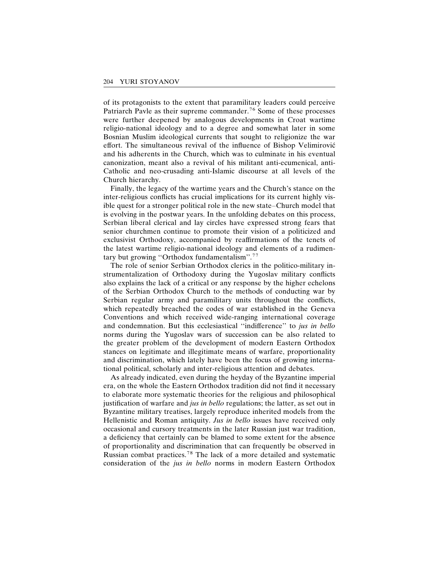of its protagonists to the extent that paramilitary leaders could perceive Patriarch Pavle as their supreme commander.<sup>76</sup> Some of these processes were further deepened by analogous developments in Croat wartime religio-national ideology and to a degree and somewhat later in some Bosnian Muslim ideological currents that sought to religionize the war effort. The simultaneous revival of the influence of Bishop Velimirovic´ and his adherents in the Church, which was to culminate in his eventual canonization, meant also a revival of his militant anti-ecumenical, anti-Catholic and neo-crusading anti-Islamic discourse at all levels of the Church hierarchy.

Finally, the legacy of the wartime years and the Church's stance on the inter-religious conflicts has crucial implications for its current highly visible quest for a stronger political role in the new state–Church model that is evolving in the postwar years. In the unfolding debates on this process, Serbian liberal clerical and lay circles have expressed strong fears that senior churchmen continue to promote their vision of a politicized and exclusivist Orthodoxy, accompanied by reaffirmations of the tenets of the latest wartime religio-national ideology and elements of a rudimentary but growing ''Orthodox fundamentalism''.77

The role of senior Serbian Orthodox clerics in the politico-military instrumentalization of Orthodoxy during the Yugoslav military conflicts also explains the lack of a critical or any response by the higher echelons of the Serbian Orthodox Church to the methods of conducting war by Serbian regular army and paramilitary units throughout the conflicts, which repeatedly breached the codes of war established in the Geneva Conventions and which received wide-ranging international coverage and condemnation. But this ecclesiastical ''indifference'' to jus in bello norms during the Yugoslav wars of succession can be also related to the greater problem of the development of modern Eastern Orthodox stances on legitimate and illegitimate means of warfare, proportionality and discrimination, which lately have been the focus of growing international political, scholarly and inter-religious attention and debates.

As already indicated, even during the heyday of the Byzantine imperial era, on the whole the Eastern Orthodox tradition did not find it necessary to elaborate more systematic theories for the religious and philosophical justification of warfare and jus in bello regulations; the latter, as set out in Byzantine military treatises, largely reproduce inherited models from the Hellenistic and Roman antiquity. Jus in bello issues have received only occasional and cursory treatments in the later Russian just war tradition, a deficiency that certainly can be blamed to some extent for the absence of proportionality and discrimination that can frequently be observed in Russian combat practices.78 The lack of a more detailed and systematic consideration of the jus in bello norms in modern Eastern Orthodox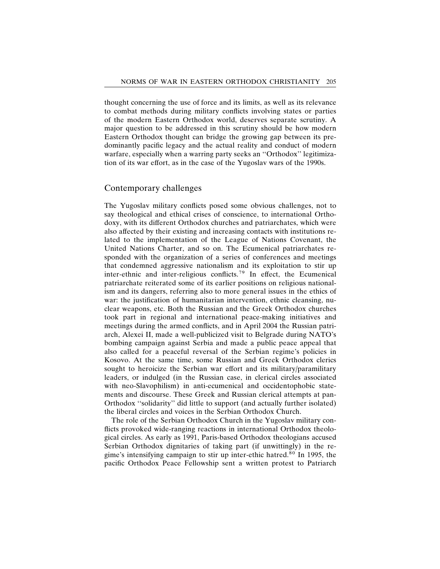thought concerning the use of force and its limits, as well as its relevance to combat methods during military conflicts involving states or parties of the modern Eastern Orthodox world, deserves separate scrutiny. A major question to be addressed in this scrutiny should be how modern Eastern Orthodox thought can bridge the growing gap between its predominantly pacific legacy and the actual reality and conduct of modern warfare, especially when a warring party seeks an ''Orthodox'' legitimization of its war effort, as in the case of the Yugoslav wars of the 1990s.

#### Contemporary challenges

The Yugoslav military conflicts posed some obvious challenges, not to say theological and ethical crises of conscience, to international Orthodoxy, with its different Orthodox churches and patriarchates, which were also affected by their existing and increasing contacts with institutions related to the implementation of the League of Nations Covenant, the United Nations Charter, and so on. The Ecumenical patriarchates responded with the organization of a series of conferences and meetings that condemned aggressive nationalism and its exploitation to stir up inter-ethnic and inter-religious conflicts.<sup>79</sup> In effect, the Ecumenical patriarchate reiterated some of its earlier positions on religious nationalism and its dangers, referring also to more general issues in the ethics of war: the justification of humanitarian intervention, ethnic cleansing, nuclear weapons, etc. Both the Russian and the Greek Orthodox churches took part in regional and international peace-making initiatives and meetings during the armed conflicts, and in April 2004 the Russian patriarch, Alexei II, made a well-publicized visit to Belgrade during NATO's bombing campaign against Serbia and made a public peace appeal that also called for a peaceful reversal of the Serbian regime's policies in Kosovo. At the same time, some Russian and Greek Orthodox clerics sought to heroicize the Serbian war effort and its military/paramilitary leaders, or indulged (in the Russian case, in clerical circles associated with neo-Slavophilism) in anti-ecumenical and occidentophobic statements and discourse. These Greek and Russian clerical attempts at pan-Orthodox ''solidarity'' did little to support (and actually further isolated) the liberal circles and voices in the Serbian Orthodox Church.

The role of the Serbian Orthodox Church in the Yugoslav military conflicts provoked wide-ranging reactions in international Orthodox theological circles. As early as 1991, Paris-based Orthodox theologians accused Serbian Orthodox dignitaries of taking part (if unwittingly) in the regime's intensifying campaign to stir up inter-ethic hatred.<sup>80</sup> In 1995, the pacific Orthodox Peace Fellowship sent a written protest to Patriarch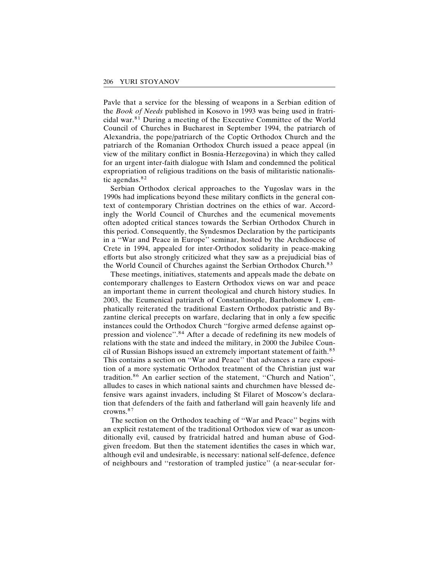Pavle that a service for the blessing of weapons in a Serbian edition of the Book of Needs published in Kosovo in 1993 was being used in fratricidal war.81 During a meeting of the Executive Committee of the World Council of Churches in Bucharest in September 1994, the patriarch of Alexandria, the pope/patriarch of the Coptic Orthodox Church and the patriarch of the Romanian Orthodox Church issued a peace appeal (in view of the military conflict in Bosnia-Herzegovina) in which they called for an urgent inter-faith dialogue with Islam and condemned the political expropriation of religious traditions on the basis of militaristic nationalistic agendas.82

Serbian Orthodox clerical approaches to the Yugoslav wars in the 1990s had implications beyond these military conflicts in the general context of contemporary Christian doctrines on the ethics of war. Accordingly the World Council of Churches and the ecumenical movements often adopted critical stances towards the Serbian Orthodox Church in this period. Consequently, the Syndesmos Declaration by the participants in a ''War and Peace in Europe'' seminar, hosted by the Archdiocese of Crete in 1994, appealed for inter-Orthodox solidarity in peace-making efforts but also strongly criticized what they saw as a prejudicial bias of the World Council of Churches against the Serbian Orthodox Church.<sup>83</sup>

These meetings, initiatives, statements and appeals made the debate on contemporary challenges to Eastern Orthodox views on war and peace an important theme in current theological and church history studies. In 2003, the Ecumenical patriarch of Constantinople, Bartholomew I, emphatically reiterated the traditional Eastern Orthodox patristic and Byzantine clerical precepts on warfare, declaring that in only a few specific instances could the Orthodox Church ''forgive armed defense against oppression and violence''.84 After a decade of redefining its new models of relations with the state and indeed the military, in 2000 the Jubilee Council of Russian Bishops issued an extremely important statement of faith.<sup>85</sup> This contains a section on ''War and Peace'' that advances a rare exposition of a more systematic Orthodox treatment of the Christian just war tradition.86 An earlier section of the statement, ''Church and Nation'', alludes to cases in which national saints and churchmen have blessed defensive wars against invaders, including St Filaret of Moscow's declaration that defenders of the faith and fatherland will gain heavenly life and crowns.87

The section on the Orthodox teaching of ''War and Peace'' begins with an explicit restatement of the traditional Orthodox view of war as unconditionally evil, caused by fratricidal hatred and human abuse of Godgiven freedom. But then the statement identifies the cases in which war, although evil and undesirable, is necessary: national self-defence, defence of neighbours and ''restoration of trampled justice'' (a near-secular for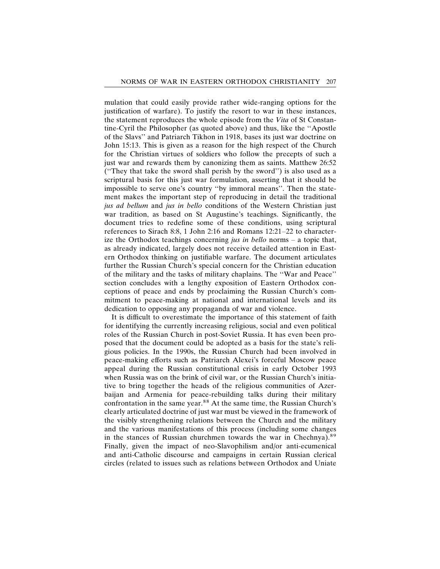mulation that could easily provide rather wide-ranging options for the justification of warfare). To justify the resort to war in these instances, the statement reproduces the whole episode from the Vita of St Constantine-Cyril the Philosopher (as quoted above) and thus, like the ''Apostle of the Slavs'' and Patriarch Tikhon in 1918, bases its just war doctrine on John 15:13. This is given as a reason for the high respect of the Church for the Christian virtues of soldiers who follow the precepts of such a just war and rewards them by canonizing them as saints. Matthew 26:52 (''They that take the sword shall perish by the sword'') is also used as a scriptural basis for this just war formulation, asserting that it should be impossible to serve one's country ''by immoral means''. Then the statement makes the important step of reproducing in detail the traditional jus ad bellum and jus in bello conditions of the Western Christian just war tradition, as based on St Augustine's teachings. Significantly, the document tries to redefine some of these conditions, using scriptural references to Sirach 8:8, 1 John 2:16 and Romans 12:21–22 to characterize the Orthodox teachings concerning jus in bello norms – a topic that, as already indicated, largely does not receive detailed attention in Eastern Orthodox thinking on justifiable warfare. The document articulates further the Russian Church's special concern for the Christian education of the military and the tasks of military chaplains. The ''War and Peace'' section concludes with a lengthy exposition of Eastern Orthodox conceptions of peace and ends by proclaiming the Russian Church's commitment to peace-making at national and international levels and its dedication to opposing any propaganda of war and violence.

It is difficult to overestimate the importance of this statement of faith for identifying the currently increasing religious, social and even political roles of the Russian Church in post-Soviet Russia. It has even been proposed that the document could be adopted as a basis for the state's religious policies. In the 1990s, the Russian Church had been involved in peace-making efforts such as Patriarch Alexei's forceful Moscow peace appeal during the Russian constitutional crisis in early October 1993 when Russia was on the brink of civil war, or the Russian Church's initiative to bring together the heads of the religious communities of Azerbaijan and Armenia for peace-rebuilding talks during their military confrontation in the same year.<sup>88</sup> At the same time, the Russian Church's clearly articulated doctrine of just war must be viewed in the framework of the visibly strengthening relations between the Church and the military and the various manifestations of this process (including some changes in the stances of Russian churchmen towards the war in Chechnya).89 Finally, given the impact of neo-Slavophilism and/or anti-ecumenical and anti-Catholic discourse and campaigns in certain Russian clerical circles (related to issues such as relations between Orthodox and Uniate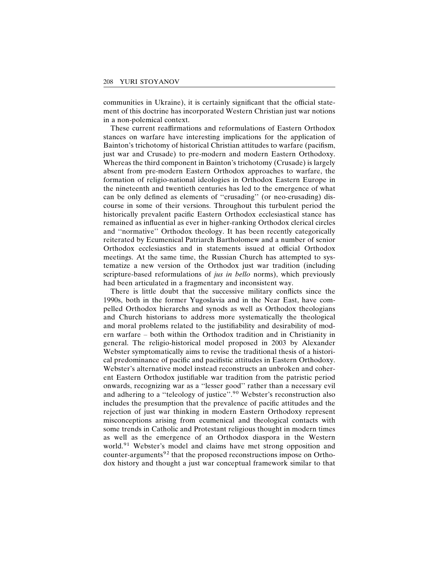communities in Ukraine), it is certainly significant that the official statement of this doctrine has incorporated Western Christian just war notions in a non-polemical context.

These current reaffirmations and reformulations of Eastern Orthodox stances on warfare have interesting implications for the application of Bainton's trichotomy of historical Christian attitudes to warfare (pacifism, just war and Crusade) to pre-modern and modern Eastern Orthodoxy. Whereas the third component in Bainton's trichotomy (Crusade) is largely absent from pre-modern Eastern Orthodox approaches to warfare, the formation of religio-national ideologies in Orthodox Eastern Europe in the nineteenth and twentieth centuries has led to the emergence of what can be only defined as elements of ''crusading'' (or neo-crusading) discourse in some of their versions. Throughout this turbulent period the historically prevalent pacific Eastern Orthodox ecclesiastical stance has remained as influential as ever in higher-ranking Orthodox clerical circles and ''normative'' Orthodox theology. It has been recently categorically reiterated by Ecumenical Patriarch Bartholomew and a number of senior Orthodox ecclesiastics and in statements issued at official Orthodox meetings. At the same time, the Russian Church has attempted to systematize a new version of the Orthodox just war tradition (including scripture-based reformulations of *jus in bello* norms), which previously had been articulated in a fragmentary and inconsistent way.

There is little doubt that the successive military conflicts since the 1990s, both in the former Yugoslavia and in the Near East, have compelled Orthodox hierarchs and synods as well as Orthodox theologians and Church historians to address more systematically the theological and moral problems related to the justifiability and desirability of modern warfare – both within the Orthodox tradition and in Christianity in general. The religio-historical model proposed in 2003 by Alexander Webster symptomatically aims to revise the traditional thesis of a historical predominance of pacific and pacifistic attitudes in Eastern Orthodoxy. Webster's alternative model instead reconstructs an unbroken and coherent Eastern Orthodox justifiable war tradition from the patristic period onwards, recognizing war as a ''lesser good'' rather than a necessary evil and adhering to a "teleology of justice".<sup>90</sup> Webster's reconstruction also includes the presumption that the prevalence of pacific attitudes and the rejection of just war thinking in modern Eastern Orthodoxy represent misconceptions arising from ecumenical and theological contacts with some trends in Catholic and Protestant religious thought in modern times as well as the emergence of an Orthodox diaspora in the Western world.91 Webster's model and claims have met strong opposition and counter-arguments<sup>92</sup> that the proposed reconstructions impose on Orthodox history and thought a just war conceptual framework similar to that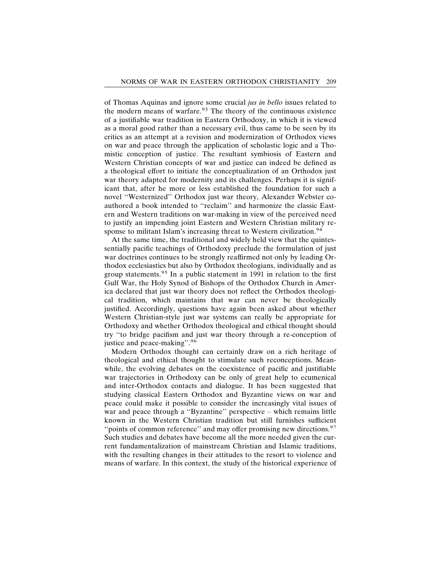of Thomas Aquinas and ignore some crucial jus in bello issues related to the modern means of warfare.<sup>93</sup> The theory of the continuous existence of a justifiable war tradition in Eastern Orthodoxy, in which it is viewed as a moral good rather than a necessary evil, thus came to be seen by its critics as an attempt at a revision and modernization of Orthodox views on war and peace through the application of scholastic logic and a Thomistic conception of justice. The resultant symbiosis of Eastern and Western Christian concepts of war and justice can indeed be defined as a theological effort to initiate the conceptualization of an Orthodox just war theory adapted for modernity and its challenges. Perhaps it is significant that, after he more or less established the foundation for such a novel ''Westernized'' Orthodox just war theory, Alexander Webster coauthored a book intended to ''reclaim'' and harmonize the classic Eastern and Western traditions on war-making in view of the perceived need to justify an impending joint Eastern and Western Christian military response to militant Islam's increasing threat to Western civilization.<sup>94</sup>

At the same time, the traditional and widely held view that the quintessentially pacific teachings of Orthodoxy preclude the formulation of just war doctrines continues to be strongly reaffirmed not only by leading Orthodox ecclesiastics but also by Orthodox theologians, individually and as group statements.<sup>95</sup> In a public statement in 1991 in relation to the first Gulf War, the Holy Synod of Bishops of the Orthodox Church in America declared that just war theory does not reflect the Orthodox theological tradition, which maintains that war can never be theologically justified. Accordingly, questions have again been asked about whether Western Christian-style just war systems can really be appropriate for Orthodoxy and whether Orthodox theological and ethical thought should try ''to bridge pacifism and just war theory through a re-conception of justice and peace-making".<sup>96</sup>

Modern Orthodox thought can certainly draw on a rich heritage of theological and ethical thought to stimulate such reconceptions. Meanwhile, the evolving debates on the coexistence of pacific and justifiable war trajectories in Orthodoxy can be only of great help to ecumenical and inter-Orthodox contacts and dialogue. It has been suggested that studying classical Eastern Orthodox and Byzantine views on war and peace could make it possible to consider the increasingly vital issues of war and peace through a "Byzantine" perspective – which remains little known in the Western Christian tradition but still furnishes sufficient "points of common reference" and may offer promising new directions.<sup>97</sup> Such studies and debates have become all the more needed given the current fundamentalization of mainstream Christian and Islamic traditions, with the resulting changes in their attitudes to the resort to violence and means of warfare. In this context, the study of the historical experience of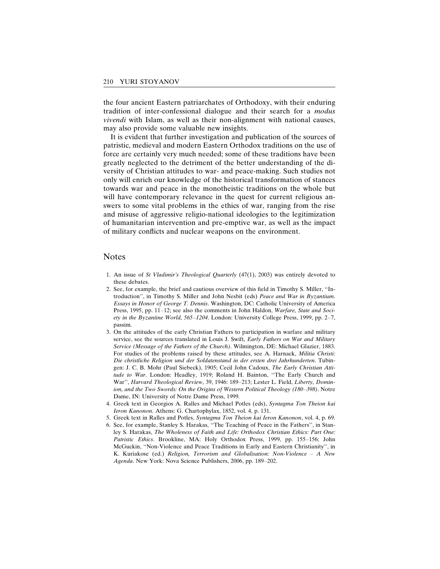the four ancient Eastern patriarchates of Orthodoxy, with their enduring tradition of inter-confessional dialogue and their search for a modus vivendi with Islam, as well as their non-alignment with national causes, may also provide some valuable new insights.

It is evident that further investigation and publication of the sources of patristic, medieval and modern Eastern Orthodox traditions on the use of force are certainly very much needed; some of these traditions have been greatly neglected to the detriment of the better understanding of the diversity of Christian attitudes to war- and peace-making. Such studies not only will enrich our knowledge of the historical transformation of stances towards war and peace in the monotheistic traditions on the whole but will have contemporary relevance in the quest for current religious answers to some vital problems in the ethics of war, ranging from the rise and misuse of aggressive religio-national ideologies to the legitimization of humanitarian intervention and pre-emptive war, as well as the impact of military conflicts and nuclear weapons on the environment.

#### Notes

- 1. An issue of St Vladimir's Theological Quarterly  $(47(1), 2003)$  was entirely devoted to these debates.
- 2. See, for example, the brief and cautious overview of this field in Timothy S. Miller, ''Introduction'', in Timothy S. Miller and John Nesbit (eds) Peace and War in Byzantium. Essays in Honor of George T. Dennis. Washington, DC: Catholic University of America Press, 1995, pp. 11–12; see also the comments in John Haldon, Warfare, State and Society in the Byzantine World, 565–1204. London: University College Press, 1999, pp. 2–7, passim.
- 3. On the attitudes of the early Christian Fathers to participation in warfare and military service, see the sources translated in Louis J. Swift, Early Fathers on War and Military Service (Message of the Fathers of the Church). Wilmington, DE: Michael Glazier, 1883. For studies of the problems raised by these attitudes, see A. Harnack, Militia Christi: Die christliche Religion und der Soldatenstand in der ersten drei Jahrhunderten. Tubingen: J. C. B. Mohr (Paul Siebeck), 1905; Cecil John Cadoux, The Early Christian Attitude to War. London: Headley, 1919; Roland H. Bainton, ''The Early Church and War'', Harvard Theological Review, 39, 1946: 189–213; Lester L. Field, Liberty, Dominion, and the Two Swords: On the Origins of Western Political Theology (180–398). Notre Dame, IN: University of Notre Dame Press, 1999.
- 4. Greek text in Georgios A. Ralles and Michael Potles (eds), Syntagma Ton Theion kai Ieron Kanonon. Athens: G. Chartophylax, 1852, vol. 4, p. 131.
- 5. Greek text in Ralles and Potles, Syntagma Ton Theion kai Ieron Kanonon, vol. 4, p. 69.
- 6. See, for example, Stanley S. Harakas, ''The Teaching of Peace in the Fathers'', in Stanley S. Harakas, The Wholeness of Faith and Life: Orthodox Christian Ethics: Part One: Patristic Ethics. Brookline, MA: Holy Orthodox Press, 1999, pp. 155–156; John McGuckin, ''Non-Violence and Peace Traditions in Early and Eastern Christianity'', in K. Kuriakose (ed.) Religion, Terrorism and Globalisation: Non-Violence – A New Agenda. New York: Nova Science Publishers, 2006, pp. 189–202.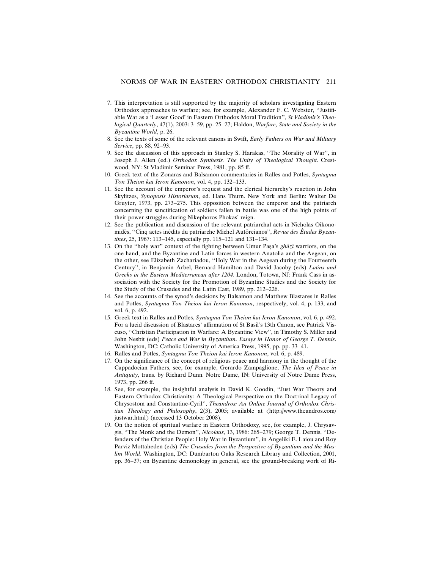- 7. This interpretation is still supported by the majority of scholars investigating Eastern Orthodox approaches to warfare; see, for example, Alexander F. C. Webster, ''Justifiable War as a 'Lesser Good' in Eastern Orthodox Moral Tradition'', St Vladimir's Theological Quarterly, 47(1), 2003: 3–59, pp. 25–27; Haldon, Warfare, State and Society in the Byzantine World, p. 26.
- 8. See the texts of some of the relevant canons in Swift, Early Fathers on War and Military Service, pp. 88, 92–93.
- 9. See the discussion of this approach in Stanley S. Harakas, ''The Morality of War'', in Joseph J. Allen (ed.) Orthodox Synthesis. The Unity of Theological Thought. Crestwood, NY: St Vladimir Seminar Press, 1981, pp. 85 ff.
- 10. Greek text of the Zonaras and Balsamon commentaries in Ralles and Potles, Syntagma Ton Theion kai Ieron Kanonon, vol. 4, pp. 132–133.
- 11. See the account of the emperor's request and the clerical hierarchy's reaction in John Skylitzes, Synoposis Historiarum, ed. Hans Thurn. New York and Berlin: Walter De Gruyter, 1973, pp. 273–275. This opposition between the emperor and the patriarch concerning the sanctification of soldiers fallen in battle was one of the high points of their power struggles during Nikephoros Phokas' reign.
- 12. See the publication and discussion of the relevant patriarchal acts in Nicholas Oikonomidès, "Cinq actes inédits du patriarche Michel Autôreianos", Revue des Études Byzantines, 25, 1967: 113–145, especially pp. 115–121 and 131–134.
- 13. On the "holy war" context of the fighting between Umur Paşa's ghaz $\bar{z}$  warriors, on the one hand, and the Byzantine and Latin forces in western Anatolia and the Aegean, on the other, see Elizabeth Zachariadou, ''Holy War in the Aegean during the Fourteenth Century'', in Benjamin Arbel, Bernard Hamilton and David Jacoby (eds) Latins and Greeks in the Eastern Mediterranean after 1204. London, Totowa, NJ: Frank Cass in association with the Society for the Promotion of Byzantine Studies and the Society for the Study of the Crusades and the Latin East, 1989, pp. 212–226.
- 14. See the accounts of the synod's decisions by Balsamon and Matthew Blastares in Ralles and Potles, Syntagma Ton Theion kai Ieron Kanonon, respectively, vol. 4, p. 133, and vol. 6, p. 492.
- 15. Greek text in Ralles and Potles, Syntagma Ton Theion kai Ieron Kanonon, vol. 6, p. 492. For a lucid discussion of Blastares' affirmation of St Basil's 13th Canon, see Patrick Viscuso, ''Christian Participation in Warfare: A Byzantine View'', in Timothy S. Miller and John Nesbit (eds) Peace and War in Byzantium. Essays in Honor of George T. Dennis. Washington, DC: Catholic University of America Press, 1995, pp. pp. 33–41.
- 16. Ralles and Potles, Syntagma Ton Theion kai Ieron Kanonon, vol. 6, p. 489.
- 17. On the significance of the concept of religious peace and harmony in the thought of the Cappadocian Fathers, see, for example, Gerardo Zampaglione, The Idea of Peace in Antiquity, trans. by Richard Dunn. Notre Dame, IN: University of Notre Dame Press, 1973, pp. 266 ff.
- 18. See, for example, the insightful analysis in David K. Goodin, ''Just War Theory and Eastern Orthodox Christianity: A Theological Perspective on the Doctrinal Legacy of Chrysostom and Constantine-Cyril'', Theandros: An Online Journal of Orthodox Christian Theology and Philosophy, 2(3), 2005; available at  $\langle$ http://www.theandros.com/ justwar.html $\rangle$  (accessed 13 October 2008).
- 19. On the notion of spiritual warfare in Eastern Orthodoxy, see, for example, J. Chrysavgis, ''The Monk and the Demon'', Nicolaus, 13, 1986: 265–279; George T. Dennis, ''Defenders of the Christian People: Holy War in Byzantium'', in Angeliki E. Laiou and Roy Parviz Mottaheden (eds) The Crusades from the Perspective of Byzantium and the Muslim World. Washington, DC: Dumbarton Oaks Research Library and Collection, 2001, pp. 36–37; on Byzantine demonology in general, see the ground-breaking work of Ri-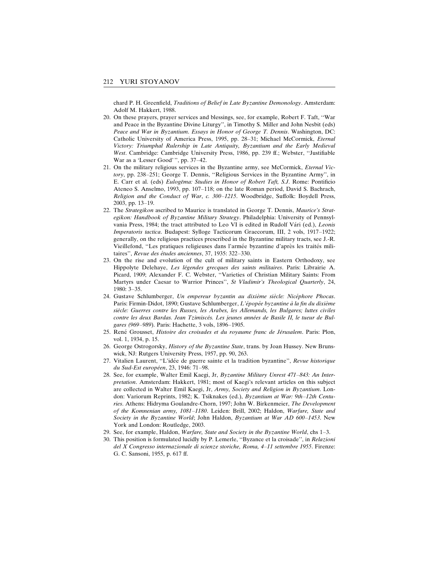chard P. H. Greenfield, Traditions of Belief in Late Byzantine Demonology. Amsterdam: Adolf M. Hakkert, 1988.

- 20. On these prayers, prayer services and blessings, see, for example, Robert F. Taft, ''War and Peace in the Byzantine Divine Liturgy'', in Timothy S. Miller and John Nesbit (eds) Peace and War in Byzantium. Essays in Honor of George T. Dennis. Washington, DC: Catholic University of America Press, 1995, pp. 28–31; Michael McCormick, Eternal Victory: Triumphal Rulership in Late Antiquity, Byzantium and the Early Medieval West. Cambridge: Cambridge University Press, 1986, pp. 239 ff.; Webster, ''Justifiable War as a 'Lesser Good'", pp. 37-42.
- 21. On the military religious services in the Byzantine army, see McCormick, Eternal Victory, pp. 238–251; George T. Dennis, ''Religious Services in the Byzantine Army'', in E. Carr et al. (eds) Eulogēma: Studies in Honor of Robert Taft, S.J. Rome: Pontificio Ateneo S. Anselmo, 1993, pp. 107–118; on the late Roman period, David S. Bachrach, Religion and the Conduct of War, c. 300–1215. Woodbridge, Suffolk: Boydell Press, 2003, pp. 13–19.
- 22. The Strategikon ascribed to Maurice is translated in George T. Dennis, Maurice's Strategikon: Handbook of Byzantine Military Strategy. Philadelphia: University of Pennsylvania Press, 1984; the tract attributed to Leo VI is edited in Rudolf Vári (ed.), Leonis Imperatoris tactica. Budapest: Sylloge Tacticorum Graecorum, III, 2 vols, 1917–1922; generally, on the religious practices prescribed in the Byzantine military tracts, see J.-R. Vieillefond, "Les pratiques religieuses dans l'armée byzantine d'après les traités militaires", Revue des études anciennes, 37, 1935: 322-330.
- 23. On the rise and evolution of the cult of military saints in Eastern Orthodoxy, see Hippolyte Delehaye, Les légendes grecques des saints militaires. Paris: Librairie A. Picard, 1909; Alexander F. C. Webster, ''Varieties of Christian Military Saints: From Martyrs under Caesar to Warrior Princes'', St Vladimir's Theological Quarterly, 24, 1980: 3–35.
- 24. Gustave Schlumberger, Un empereur byzantin au dixième siècle: Nicéphore Phocas. Paris: Firmin-Didot, 1890; Gustave Schlumberger, L'épopée byzantine à la fin du dixième siècle: Guerres contre les Russes, les Arabes, les Allemands, les Bulgares; luttes civiles contre les deux Bardas. Jean Tzimiscés. Les jeunes années de Basile II, le tueur de Bulgares (969–989). Paris: Hachette, 3 vols, 1896–1905.
- 25. René Grousset, Histoire des croisades et du royaume franc de Jérusalem. Paris: Plon, vol. 1, 1934, p. 15.
- 26. George Ostrogorsky, History of the Byzantine State, trans. by Joan Hussey. New Brunswick, NJ: Rutgers University Press, 1957, pp. 90, 263.
- 27. Vitalien Laurent, "L'idée de guerre sainte et la tradition byzantine", Revue historique du Sud-Est européen, 23, 1946: 71-98.
- 28. See, for example, Walter Emil Kaegi, Jr, Byzantine Military Unrest 471–843: An Interpretation. Amsterdam: Hakkert, 1981; most of Kaegi's relevant articles on this subject are collected in Walter Emil Kaegi, Jr, Army, Society and Religion in Byzantium. London: Variorum Reprints, 1982; K. Tsiknakes (ed.), Byzantium at War: 9th–12th Centuries. Athens: Hidryma Goulandre-Chorn, 1997; John W. Birkenmeier, The Development of the Komnenian army, 1081–1180. Leiden: Brill, 2002; Haldon, Warfare, State and Society in the Byzantine World; John Haldon, Byzantium at War AD 600–1453. New York and London: Routledge, 2003.
- 29. See, for example, Haldon, Warfare, State and Society in the Byzantine World, chs 1–3.
- 30. This position is formulated lucidly by P. Lemerle, ''Byzance et la croisade'', in Relazioni del X Congresso internazionale di scienze storiche, Roma, 4–11 settembre 1955. Firenze: G. C. Sansoni, 1955, p. 617 ff.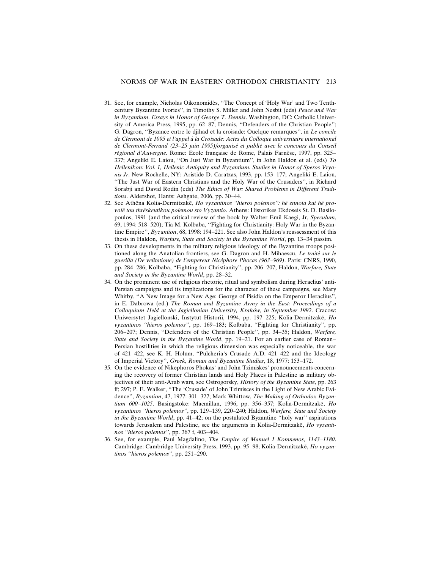- 31. See, for example, Nicholas Oikonomidès, "The Concept of 'Holy War' and Two Tenthcentury Byzantine Ivories'', in Timothy S. Miller and John Nesbit (eds) Peace and War in Byzantium. Essays in Honor of George T. Dennis. Washington, DC: Catholic University of America Press, 1995, pp. 62–87; Dennis, ''Defenders of the Christian People''; G. Dagron, ''Byzance entre le djihad et la croisade: Quelque remarques'', in Le concile de Clermont de 1095 et l'appel à la Croisade: Actes du Colloque universitaire international de Clermont-Ferrand (23-25 juin 1995)/organisé et publié avec le concours du Conseil régional d'Auvergne. Rome: Ecole française de Rome, Palais Farnèse, 1997, pp. 325– 337; Angeliki E. Laiou, "On Just War in Byzantium", in John Haldon et al. (eds) To Hellenikon: Vol. 1, Hellenic Antiquity and Byzantium. Studies in Honor of Speros Vryonis Jr. New Rochelle, NY: Aristide D. Caratzas, 1993, pp. 153–177; Angeliki E. Laiou, ''The Just War of Eastern Christians and the Holy War of the Crusaders'', in Richard Sorabji and David Rodin (eds) The Ethics of War: Shared Problems in Different Traditions. Aldershot, Hants: Ashgate, 2006, pp. 30–44.
- 32. See Athēna Kolia-Dermitzakē, Ho vyzantinos "hieros polemos": hē ennoia kai hē provolē tou thrēskeutikou polemou sto Vyzantio. Athens: Historikes Ekdoseis St. D. Basilopoulos, 1991 (and the critical review of the book by Walter Emil Kaegi, Jr, Speculum, 69, 1994: 518–520); Tia M. Kolbaba, ''Fighting for Christianity: Holy War in the Byzantine Empire'', Byzantion, 68, 1998: 194–221. See also John Haldon's reassessment of this thesis in Haldon, Warfare, State and Society in the Byzantine World, pp. 13–34 passim.
- 33. On these developments in the military religious ideology of the Byzantine troops positioned along the Anatolian frontiers, see G. Dagron and H. Mihaescu, Le traité sur le guerilla (De velitatione) de l'empereur Nicéphore Phocas (963-969). Paris: CNRS, 1990, pp. 284–286; Kolbaba, ''Fighting for Christianity'', pp. 206–207; Haldon, Warfare, State and Society in the Byzantine World, pp. 28–32.
- 34. On the prominent use of religious rhetoric, ritual and symbolism during Heraclius' anti-Persian campaigns and its implications for the character of these campaigns, see Mary Whitby, ''A New Image for a New Age: George of Pisidia on the Emperor Heraclius'', in E. Dabrowa (ed.) The Roman and Byzantine Army in the East: Proceedings of a Colloquium Held at the Jagiellonian University, Kraków, in September 1992. Cracow: Uniwersytet Jagiellonski, Instytut Historii, 1994, pp. 197–225; Kolia-Dermitzakē, Ho vyzantinos ''hieros polemos'', pp. 169–183; Kolbaba, ''Fighting for Christianity'', pp. 206–207; Dennis, ''Defenders of the Christian People'', pp. 34–35; Haldon, Warfare, State and Society in the Byzantine World, pp. 19–21. For an earlier case of Roman– Persian hostilities in which the religious dimension was especially noticeable, the war of 421–422, see K. H. Holum, ''Pulcheria's Crusade A.D. 421–422 and the Ideology of Imperial Victory'', Greek, Roman and Byzantine Studies, 18, 1977: 153–172.
- 35. On the evidence of Nikephoros Phokas' and John Tzimiskes' pronouncements concerning the recovery of former Christian lands and Holy Places in Palestine as military objectives of their anti-Arab wars, see Ostrogorsky, History of the Byzantine State, pp. 263 ff; 297; P. E. Walker, ''The 'Crusade' of John Tzimisces in the Light of New Arabic Evidence'', Byzantion, 47, 1977: 301–327; Mark Whittow, The Making of Orthodox Byzantium 600-1025. Basingstoke: Macmillan, 1996, pp. 356-357; Kolia-Dermitzakē, Ho vyzantinos ''hieros polemos'', pp. 129–139, 220–240; Haldon, Warfare, State and Society in the Byzantine World, pp. 41–42; on the postulated Byzantine ''holy war'' aspirations towards Jerusalem and Palestine, see the arguments in Kolia-Dermitzake, Ho vyzantinos ''hieros polemos'', pp. 367 f, 403–404.
- 36. See, for example, Paul Magdalino, The Empire of Manuel I Komnenos, 1143–1180. Cambridge: Cambridge University Press, 1993, pp. 95-98; Kolia-Dermitzakē, Ho vyzantinos ''hieros polemos'', pp. 251–290.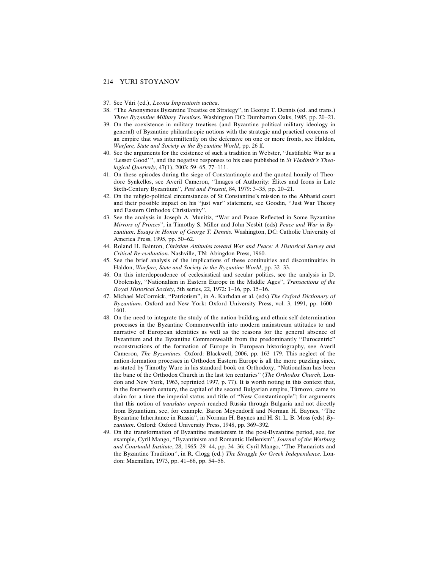- 37. See Vári (ed.), Leonis Imperatoris tactica.
- 38. ''The Anonymous Byzantine Treatise on Strategy'', in George T. Dennis (ed. and trans.) Three Byzantine Military Treatises. Washington DC: Dumbarton Oaks, 1985, pp. 20–21.
- 39. On the coexistence in military treatises (and Byzantine political military ideology in general) of Byzantine philanthropic notions with the strategic and practical concerns of an empire that was intermittently on the defensive on one or more fronts, see Haldon, Warfare, State and Society in the Byzantine World, pp. 26 ff.
- 40. See the arguments for the existence of such a tradition in Webster, ''Justifiable War as a 'Lesser Good' '', and the negative responses to his case published in St Vladimir's Theological Quarterly, 47(1), 2003: 59–65, 77–111.
- 41. On these episodes during the siege of Constantinople and the quoted homily of Theodore Synkellos, see Averil Cameron, "Images of Authority: Élites and Icons in Late Sixth-Century Byzantium'', Past and Present, 84, 1979: 3–35, pp. 20–21.
- 42. On the religio-political circumstances of St Constantine's mission to the Abbasid court and their possible impact on his ''just war'' statement, see Goodin, ''Just War Theory and Eastern Orthodox Christianity''.
- 43. See the analysis in Joseph A. Munitiz, ''War and Peace Reflected in Some Byzantine Mirrors of Princes", in Timothy S. Miller and John Nesbit (eds) Peace and War in Byzantium. Essays in Honor of George T. Dennis. Washington, DC: Catholic University of America Press, 1995, pp. 50–62.
- 44. Roland H. Bainton, Christian Attitudes toward War and Peace: A Historical Survey and Critical Re-evaluation. Nashville, TN: Abingdon Press, 1960.
- 45. See the brief analysis of the implications of these continuities and discontinuities in Haldon, Warfare, State and Society in the Byzantine World, pp. 32–33.
- 46. On this interdependence of ecclesiastical and secular politics, see the analysis in D. Obolensky, ''Nationalism in Eastern Europe in the Middle Ages'', Transactions of the Royal Historical Society, 5th series, 22, 1972: 1–16, pp. 15–16.
- 47. Michael McCormick, "Patriotism", in A. Kazhdan et al. (eds) The Oxford Dictionary of Byzantium. Oxford and New York: Oxford University Press, vol. 3, 1991, pp. 1600– 1601.
- 48. On the need to integrate the study of the nation-building and ethnic self-determination processes in the Byzantine Commonwealth into modern mainstream attitudes to and narrative of European identities as well as the reasons for the general absence of Byzantium and the Byzantine Commonwealth from the predominantly ''Eurocentric'' reconstructions of the formation of Europe in European historiography, see Averil Cameron, The Byzantines. Oxford: Blackwell, 2006, pp. 163–179. This neglect of the nation-formation processes in Orthodox Eastern Europe is all the more puzzling since, as stated by Timothy Ware in his standard book on Orthodoxy, ''Nationalism has been the bane of the Orthodox Church in the last ten centuries" (The Orthodox Church, London and New York, 1963, reprinted 1997, p. 77). It is worth noting in this context that, in the fourteenth century, the capital of the second Bulgarian empire, Tŭrnovo, came to claim for a time the imperial status and title of ''New Constantinople''; for arguments that this notion of translatio imperii reached Russia through Bulgaria and not directly from Byzantium, see, for example, Baron Meyendorff and Norman H. Baynes, ''The Byzantine Inheritance in Russia'', in Norman H. Baynes and H. St. L. B. Moss (eds) Byzantium. Oxford: Oxford University Press, 1948, pp. 369–392.
- 49. On the transformation of Byzantine messianism in the post-Byzantine period, see, for example, Cyril Mango, "Byzantinism and Romantic Hellenism", Journal of the Warburg and Courtauld Institute, 28, 1965: 29–44, pp. 34–36; Cyril Mango, ''The Phanariots and the Byzantine Tradition'', in R. Clogg (ed.) The Struggle for Greek Independence. London: Macmillan, 1973, pp. 41–66, pp. 54–56.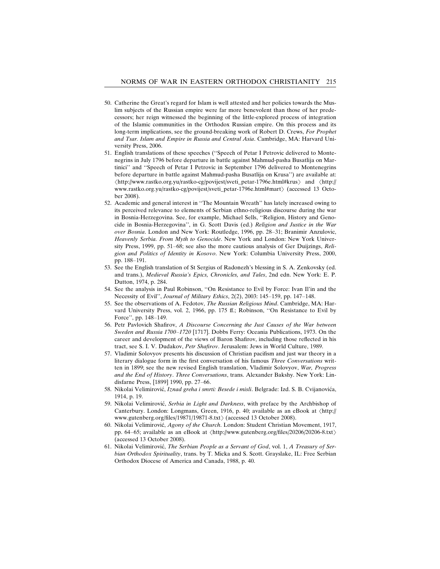- 50. Catherine the Great's regard for Islam is well attested and her policies towards the Muslim subjects of the Russian empire were far more benevolent than those of her predecessors; her reign witnessed the beginning of the little-explored process of integration of the Islamic communities in the Orthodox Russian empire. On this process and its long-term implications, see the ground-breaking work of Robert D. Crews, For Prophet and Tsar. Islam and Empire in Russia and Central Asia. Cambridge, MA: Harvard University Press, 2006.
- 51. English translations of these speeches (''Speech of Petar I Petrovic delivered to Montenegrins in July 1796 before departure in battle against Mahmud-pasha Busatlija on Martinici'' and ''Speech of Petar I Petrovic in September 1796 delivered to Montenegrins before departure in battle against Mahmud-pasha Busatlija on Krusa'') are available at:  $\langle$ http://www.rastko.org.yu/rastko-cg/povijest/sveti\_petar-1796e.html#krus> and  $\langle$ http:// www.rastko.org.yu/rastko-cg/povijest/sveti\_petar-1796e.html#mart> (accessed 13 October 2008).
- 52. Academic and general interest in ''The Mountain Wreath'' has lately increased owing to its perceived relevance to elements of Serbian ethno-religious discourse during the war in Bosnia-Herzegovina. See, for example, Michael Sells, ''Religion, History and Genocide in Bosnia-Herzegovina'', in G. Scott Davis (ed.) Religion and Justice in the War over Bosnia. London and New York: Routledge, 1996, pp. 28–31; Branimir Anzulovic, Heavenly Serbia. From Myth to Genocide. New York and London: New York University Press, 1999, pp. 51–68; see also the more cautious analysis of Ger Duijzings, Religion and Politics of Identity in Kosovo. New York: Columbia University Press, 2000, pp. 188–191.
- 53. See the English translation of St Sergius of Radonezh's blessing in S. A. Zenkovsky (ed. and trans.), Medieval Russia's Epics, Chronicles, and Tales, 2nd edn. New York: E. P. Dutton, 1974, p. 284.
- 54. See the analysis in Paul Robinson, ''On Resistance to Evil by Force: Ivan Il'in and the Necessity of Evil'', Journal of Military Ethics, 2(2), 2003: 145–159, pp. 147–148.
- 55. See the observations of A. Fedotov, *The Russian Religious Mind*. Cambridge, MA: Harvard University Press, vol. 2, 1966, pp. 175 ff.; Robinson, ''On Resistance to Evil by Force'', pp. 148–149.
- 56. Petr Pavlovich Shafirov, A Discourse Concerning the Just Causes of the War between Sweden and Russia 1700–1720 [1717]. Dobbs Ferry: Oceania Publications, 1973. On the career and development of the views of Baron Shafirov, including those reflected in his tract, see S. I. V. Dudakov, Petr Shafirov. Jerusalem: Jews in World Culture, 1989.
- 57. Vladimir Solovyov presents his discussion of Christian pacifism and just war theory in a literary dialogue form in the first conversation of his famous Three Conversations written in 1899; see the new revised English translation, Vladimir Solovyov, War, Progress and the End of History. Three Conversations, trans. Alexander Bakshy. New York: Lindisfarne Press, [1899] 1990, pp. 27–66.
- 58. Nikolai Velimirović, Iznad greha i smrti: Besede i misli. Belgrade: Izd. S. B. Cvijanovića, 1914, p. 19.
- 59. Nikolai Velimirović, Serbia in Light and Darkness, with preface by the Archbishop of Canterbury. London: Longmans, Green, 1916, p. 40; available as an eBook at  $\langle$ http:// www.gutenberg.org/files/19871/19871-8.txt> (accessed 13 October 2008).
- 60. Nikolai Velimirovic´, Agony of the Church. London: Student Christian Movement, 1917, pp. 64–65; available as an eBook at  $\langle$ http://www.gutenberg.org/files/20206/20206-8.txt $\rangle$ (accessed 13 October 2008).
- 61. Nikolai Velimirović, The Serbian People as a Servant of God, vol. 1, A Treasury of Serbian Orthodox Spirituality, trans. by T. Micka and S. Scott. Grayslake, IL: Free Serbian Orthodox Diocese of America and Canada, 1988, p. 40.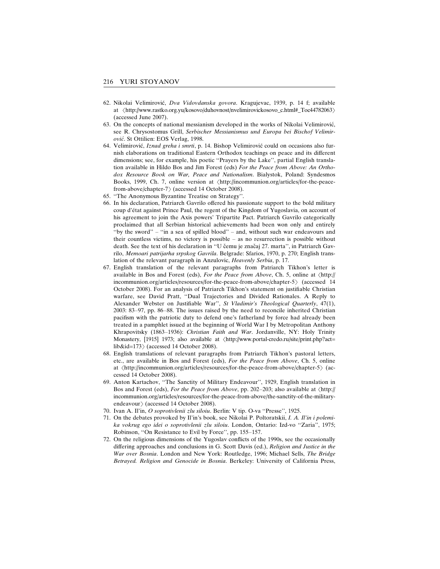- 62. Nikolai Velimirović, Dva Vidovdanska govora. Kragujevac, 1939, p. 14 f; available at  $\delta$ http://www.rastko.org.yu/kosovo/duhovnost/nvelimirovickosovo\_c.html#\_Toc44782063 (accessed June 2007).
- 63. On the concepts of national messianism developed in the works of Nikolai Velimirović, see R. Chrysostomus Grill, Serbischer Messianismus und Europa bei Bischof Velimirović. St Ottilien: EOS Verlag, 1998.
- 64. Velimirović, Iznad greha i smrti, p. 14. Bishop Velimirović could on occasions also furnish elaborations on traditional Eastern Orthodox teachings on peace and its different dimensions; see, for example, his poetic ''Prayers by the Lake'', partial English translation available in Hildo Bos and Jim Forest (eds) For the Peace from Above: An Orthodox Resource Book on War, Peace and Nationalism. Bialystok, Poland: Syndesmos Books, 1999, Ch. 7, online version at  $\langle$ http://incommunion.org/articles/for-the-peacefrom-above/chapter-7 $\rangle$  (accessed 14 October 2008).
- 65. ''The Anonymous Byzantine Treatise on Strategy''.
- 66. In his declaration, Patriarch Gavrilo offered his passionate support to the bold military coup d'e´tat against Prince Paul, the regent of the Kingdom of Yugoslavia, on account of his agreement to join the Axis powers' Tripartite Pact. Patriarch Gavrilo categorically proclaimed that all Serbian historical achievements had been won only and entirely "by the sword" – "in a sea of spilled blood" – and, without such war endeavours and their countless victims, no victory is possible – as no resurrection is possible without death. See the text of his declaration in "U čemu je značaj 27. marta", in Patriarch Gavrilo, Memoari patrijarha srpskog Gavrila. Belgrade: Sfarios, 1970, p. 270; English translation of the relevant paragraph in Anzulovic, Heavenly Serbia, p. 17.
- 67. English translation of the relevant paragraphs from Patriarch Tikhon's letter is available in Bos and Forest (eds), For the Peace from Above, Ch. 5, online at  $\langle$ http:// incommunion.org/articles/resources/for-the-peace-from-above/chapter-5 $\rangle$  (accessed 14 October 2008). For an analysis of Patriarch Tikhon's statement on justifiable Christian warfare, see David Pratt, ''Dual Trajectories and Divided Rationales. A Reply to Alexander Webster on Justifiable War'', St Vladimir's Theological Quarterly, 47(1), 2003: 83–97, pp. 86–88. The issues raised by the need to reconcile inherited Christian pacifism with the patriotic duty to defend one's fatherland by force had already been treated in a pamphlet issued at the beginning of World War I by Metropolitan Anthony Khrapovitsky (1863–1936): Christian Faith and War. Jordanville, NY: Holy Trinity Monastery, [1915] 1973; also available at  $\triangleleft$ http://www.portal-credo.ru/site/print.php?act= lib&id=173 $\rangle$  (accessed 14 October 2008).
- 68. English translations of relevant paragraphs from Patriarch Tikhon's pastoral letters, etc., are available in Bos and Forest (eds), For the Peace from Above, Ch. 5, online at  $\langle$ http://incommunion.org/articles/resources/for-the-peace-from-above/chapter-5 $\rangle$  (accessed 14 October 2008).
- 69. Anton Kartachov, ''The Sanctity of Military Endeavour'', 1929, English translation in Bos and Forest (eds), For the Peace from Above, pp. 202–203; also available at  $\langle$ http:// incommunion.org/articles/resources/for-the-peace-from-above/the-sanctity-of-the-militaryendeavour $\rangle$  (accessed 14 October 2008).
- 70. Ivan A. Il'in, O soprotivlenii zlu siloiu. Berlin: V tip. O-va ''Presse'', 1925.
- 71. On the debates provoked by Il'in's book, see Nikolai P. Poltoratskii, I. A. Il'in i polemika vokrug ego idei o soprotivlenii zlu siloiu. London, Ontario: Izd-vo ''Zaria'', 1975; Robinson, ''On Resistance to Evil by Force'', pp. 155–157.
- 72. On the religious dimensions of the Yugoslav conflicts of the 1990s, see the occasionally differing approaches and conclusions in G. Scott Davis (ed.), Religion and Justice in the War over Bosnia. London and New York: Routledge, 1996; Michael Sells, The Bridge Betrayed. Religion and Genocide in Bosnia. Berkeley: University of California Press,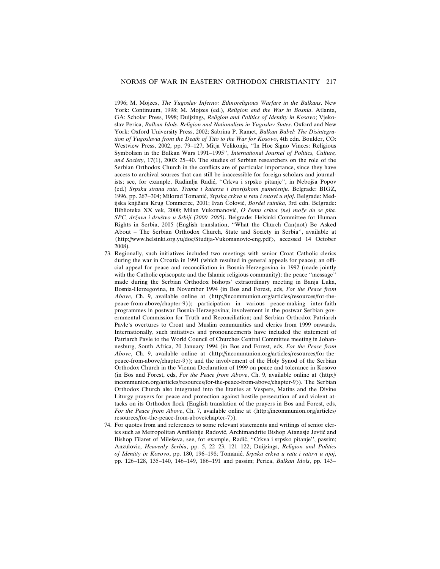1996; M. Mojzes, The Yugoslav Inferno: Ethnoreligious Warfare in the Balkans. New York: Continuum, 1998; M. Mojzes (ed.), Religion and the War in Bosnia. Atlanta, GA: Scholar Press, 1998; Duijzings, Religion and Politics of Identity in Kosovo; Vjekoslav Perica, Balkan Idols. Religion and Nationalism in Yugoslav States. Oxford and New York: Oxford University Press, 2002; Sabrina P. Ramet, Balkan Babel: The Disintegration of Yugoslavia from the Death of Tito to the War for Kosovo, 4th edn. Boulder, CO: Westview Press, 2002, pp. 79–127; Mitja Velikonja, ''In Hoc Signo Vinces: Religious Symbolism in the Balkan Wars 1991–1995'', International Journal of Politics, Culture, and Society, 17(1), 2003: 25–40. The studies of Serbian researchers on the role of the Serbian Orthodox Church in the conflicts are of particular importance, since they have access to archival sources that can still be inaccessible for foreign scholars and journalists; see, for example, Radimlja Radić, "Crkva i srpsko pitanje", in Nebojša Popov (ed.) Srpska strana rata. Trama i katarza i istorijskom pamećenju. Belgrade: BIGZ, 1996, pp. 267-304; Milorad Tomanić, Srpska crkva u ratu i ratovi u njoj. Belgrade: Medijska knjižara Krug Commerce, 2001; Ivan Čolović, Bordel ratnika, 3rd edn. Belgrade: Biblioteka XX vek, 2000; Milan Vukomanović, O čemu crkva (ne) može da se pita. SPC, država i društvo u Srbiji (2000–2005). Belgrade: Helsinki Committee for Human Rights in Serbia, 2005 (English translation, ''What the Church Can(not) Be Asked About – The Serbian Orthodox Church, State and Society in Serbia'', available at hhttp://www.helsinki.org.yu/doc/Studija-Vukomanovic-eng.pdfi, accessed 14 October 2008).

- 73. Regionally, such initiatives included two meetings with senior Croat Catholic clerics during the war in Croatia in 1991 (which resulted in general appeals for peace); an official appeal for peace and reconciliation in Bosnia-Herzegovina in 1992 (made jointly with the Catholic episcopate and the Islamic religious community); the peace "message" made during the Serbian Orthodox bishops' extraordinary meeting in Banja Luka, Bosnia-Herzegovina, in November 1994 (in Bos and Forest, eds, For the Peace from Above, Ch. 9, available online at  $\langle$ http://incommunion.org/articles/resources/for-the $peace-from-above/chapter-9$ ); participation in various peace-making inter-faith programmes in postwar Bosnia-Herzegovina; involvement in the postwar Serbian governmental Commission for Truth and Reconciliation; and Serbian Orthodox Patriarch Pavle's overtures to Croat and Muslim communities and clerics from 1999 onwards. Internationally, such initiatives and pronouncements have included the statement of Patriarch Pavle to the World Council of Churches Central Committee meeting in Johannesburg, South Africa, 20 January 1994 (in Bos and Forest, eds, For the Peace from Above, Ch. 9, available online at  $\langle$ http://incommunion.org/articles/resources/for-thepeace-from-above/chapter-9)); and the involvement of the Holy Synod of the Serbian Orthodox Church in the Vienna Declaration of 1999 on peace and tolerance in Kosovo (in Bos and Forest, eds, For the Peace from Above, Ch. 9, available online at  $\langle$ http:// incommunion.org/articles/resources/for-the-peace-from-above/chapter-9>). The Serbian Orthodox Church also integrated into the litanies at Vespers, Matins and the Divine Liturgy prayers for peace and protection against hostile persecution of and violent attacks on its Orthodox flock (English translation of the prayers in Bos and Forest, eds, For the Peace from Above, Ch. 7, available online at  $\langle$ http://incommunion.org/articles/ resources/for-the-peace-from-above/chapter-7 $\rangle$ ).
- 74. For quotes from and references to some relevant statements and writings of senior clerics such as Metropolitan Amfilohije Radović, Archimandrite Bishop Atanasje Jevtić and Bishop Filaret of Mileševa, see, for example, Radić, "Crkva i srpsko pitanje", passim; Anzulovic, Heavenly Serbia, pp. 5, 22–23, 121–122; Duijzings, Religion and Politics of Identity in Kosovo, pp. 180, 196-198; Tomanić, Srpska crkva u ratu i ratovi u njoj, pp. 126–128, 135–140, 146–149, 186–191 and passim; Perica, Balkan Idols, pp. 143–